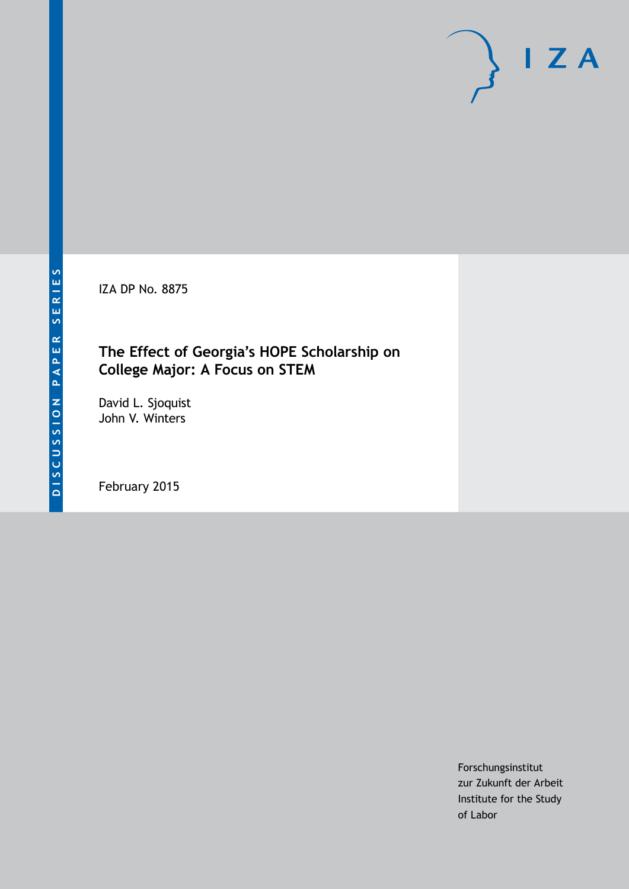IZA DP No. 8875

## **The Effect of Georgia's HOPE Scholarship on College Major: A Focus on STEM**

David L. Sjoquist John V. Winters

February 2015

Forschungsinstitut zur Zukunft der Arbeit Institute for the Study of Labor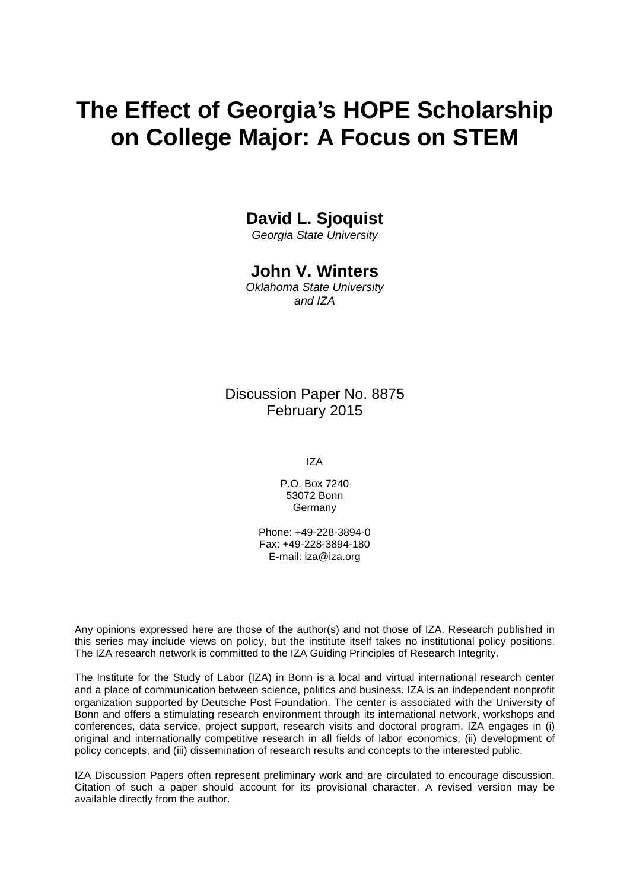# **The Effect of Georgia's HOPE Scholarship on College Major: A Focus on STEM**

## **David L. Sjoquist**

*Georgia State University*

## **John V. Winters**

*Oklahoma State University and IZA*

Discussion Paper No. 8875 February 2015

IZA

P.O. Box 7240 53072 Bonn Germany

Phone: +49-228-3894-0 Fax: +49-228-3894-180 E-mail: [iza@iza.org](mailto:iza@iza.org)

Any opinions expressed here are those of the author(s) and not those of IZA. Research published in this series may include views on policy, but the institute itself takes no institutional policy positions. The IZA research network is committed to the IZA Guiding Principles of Research Integrity.

The Institute for the Study of Labor (IZA) in Bonn is a local and virtual international research center and a place of communication between science, politics and business. IZA is an independent nonprofit organization supported by Deutsche Post Foundation. The center is associated with the University of Bonn and offers a stimulating research environment through its international network, workshops and conferences, data service, project support, research visits and doctoral program. IZA engages in (i) original and internationally competitive research in all fields of labor economics, (ii) development of policy concepts, and (iii) dissemination of research results and concepts to the interested public.

IZA Discussion Papers often represent preliminary work and are circulated to encourage discussion. Citation of such a paper should account for its provisional character. A revised version may be available directly from the author.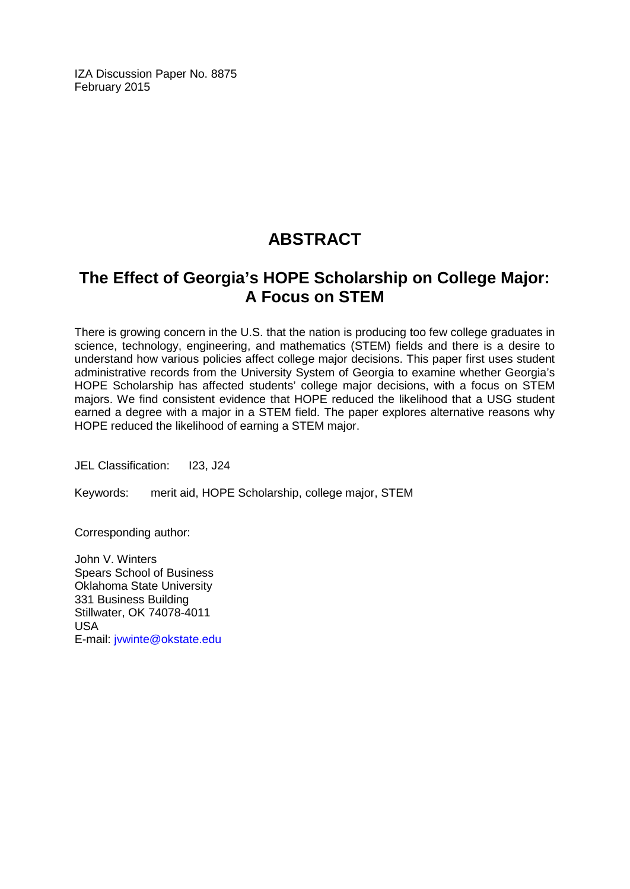IZA Discussion Paper No. 8875 February 2015

# **ABSTRACT**

# **The Effect of Georgia's HOPE Scholarship on College Major: A Focus on STEM**

There is growing concern in the U.S. that the nation is producing too few college graduates in science, technology, engineering, and mathematics (STEM) fields and there is a desire to understand how various policies affect college major decisions. This paper first uses student administrative records from the University System of Georgia to examine whether Georgia's HOPE Scholarship has affected students' college major decisions, with a focus on STEM majors. We find consistent evidence that HOPE reduced the likelihood that a USG student earned a degree with a major in a STEM field. The paper explores alternative reasons why HOPE reduced the likelihood of earning a STEM major.

JEL Classification: 123, J24

Keywords: merit aid, HOPE Scholarship, college major, STEM

Corresponding author:

John V. Winters Spears School of Business Oklahoma State University 331 Business Building Stillwater, OK 74078-4011 USA E-mail: [jvwinte@okstate.edu](mailto:jvwinte@okstate.edu)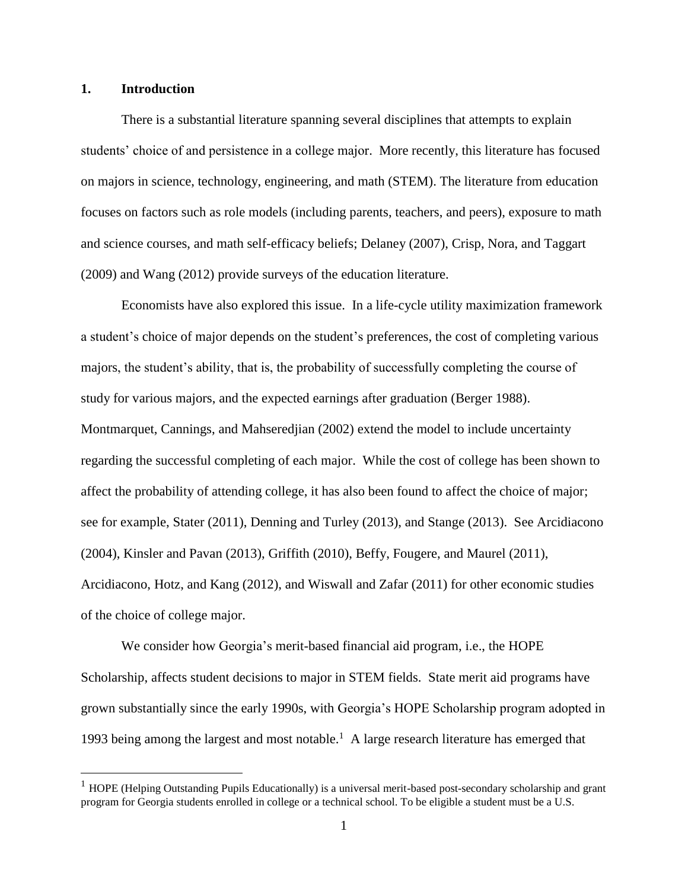#### **1. Introduction**

 $\overline{a}$ 

There is a substantial literature spanning several disciplines that attempts to explain students' choice of and persistence in a college major. More recently, this literature has focused on majors in science, technology, engineering, and math (STEM). The literature from education focuses on factors such as role models (including parents, teachers, and peers), exposure to math and science courses, and math self-efficacy beliefs; Delaney (2007), Crisp, Nora, and Taggart (2009) and Wang (2012) provide surveys of the education literature.

Economists have also explored this issue. In a life-cycle utility maximization framework a student's choice of major depends on the student's preferences, the cost of completing various majors, the student's ability, that is, the probability of successfully completing the course of study for various majors, and the expected earnings after graduation (Berger 1988). Montmarquet, Cannings, and Mahseredjian (2002) extend the model to include uncertainty regarding the successful completing of each major. While the cost of college has been shown to affect the probability of attending college, it has also been found to affect the choice of major; see for example, Stater (2011), Denning and Turley (2013), and Stange (2013). See Arcidiacono (2004), Kinsler and Pavan (2013), Griffith (2010), Beffy, Fougere, and Maurel (2011), Arcidiacono, Hotz, and Kang (2012), and Wiswall and Zafar (2011) for other economic studies of the choice of college major.

We consider how Georgia's merit-based financial aid program, i.e., the HOPE Scholarship, affects student decisions to major in STEM fields. State merit aid programs have grown substantially since the early 1990s, with Georgia's HOPE Scholarship program adopted in 1993 being among the largest and most notable.<sup>1</sup> A large research literature has emerged that

 $1$  HOPE (Helping Outstanding Pupils Educationally) is a universal merit-based post-secondary scholarship and grant program for Georgia students enrolled in college or a technical school. To be eligible a student must be a U.S.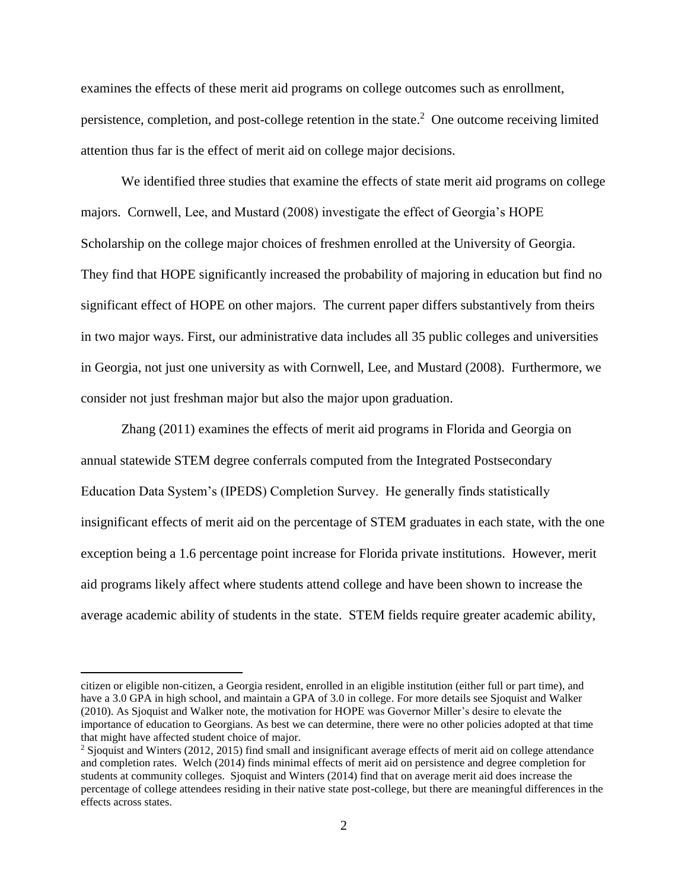examines the effects of these merit aid programs on college outcomes such as enrollment, persistence, completion, and post-college retention in the state. 2 One outcome receiving limited attention thus far is the effect of merit aid on college major decisions.

We identified three studies that examine the effects of state merit aid programs on college majors. Cornwell, Lee, and Mustard (2008) investigate the effect of Georgia's HOPE Scholarship on the college major choices of freshmen enrolled at the University of Georgia. They find that HOPE significantly increased the probability of majoring in education but find no significant effect of HOPE on other majors. The current paper differs substantively from theirs in two major ways. First, our administrative data includes all 35 public colleges and universities in Georgia, not just one university as with Cornwell, Lee, and Mustard (2008). Furthermore, we consider not just freshman major but also the major upon graduation.

Zhang (2011) examines the effects of merit aid programs in Florida and Georgia on annual statewide STEM degree conferrals computed from the Integrated Postsecondary Education Data System's (IPEDS) Completion Survey. He generally finds statistically insignificant effects of merit aid on the percentage of STEM graduates in each state, with the one exception being a 1.6 percentage point increase for Florida private institutions. However, merit aid programs likely affect where students attend college and have been shown to increase the average academic ability of students in the state. STEM fields require greater academic ability,

citizen or eligible non-citizen, a Georgia resident, enrolled in an eligible institution (either full or part time), and have a 3.0 GPA in high school, and maintain a GPA of 3.0 in college. For more details see Sjoquist and Walker (2010). As Sjoquist and Walker note, the motivation for HOPE was Governor Miller's desire to elevate the importance of education to Georgians. As best we can determine, there were no other policies adopted at that time that might have affected student choice of major.

<sup>&</sup>lt;sup>2</sup> Sjoquist and Winters (2012, 2015) find small and insignificant average effects of merit aid on college attendance and completion rates. Welch (2014) finds minimal effects of merit aid on persistence and degree completion for students at community colleges. Sjoquist and Winters (2014) find that on average merit aid does increase the percentage of college attendees residing in their native state post-college, but there are meaningful differences in the effects across states.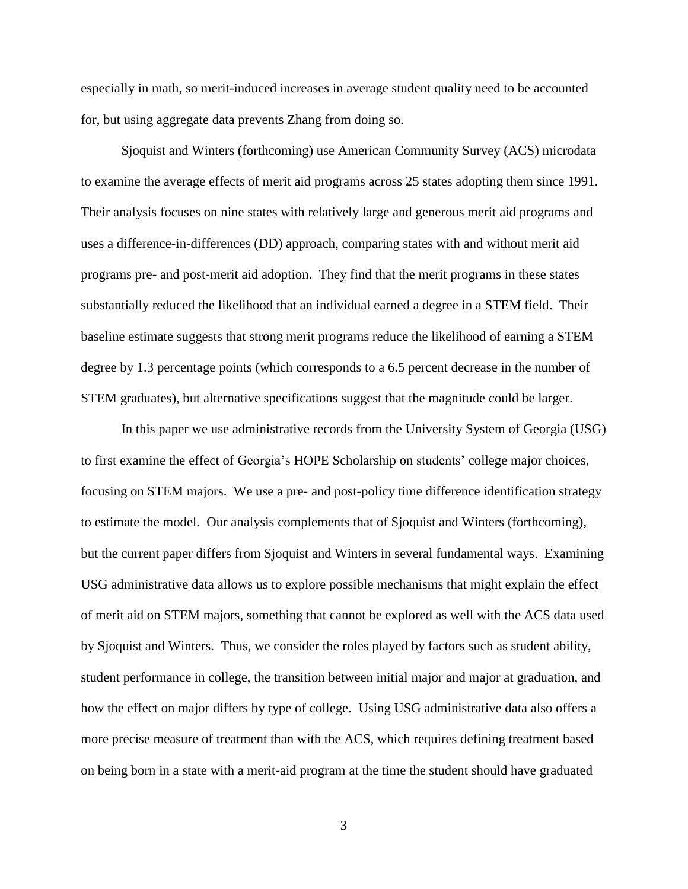especially in math, so merit-induced increases in average student quality need to be accounted for, but using aggregate data prevents Zhang from doing so.

Sjoquist and Winters (forthcoming) use American Community Survey (ACS) microdata to examine the average effects of merit aid programs across 25 states adopting them since 1991. Their analysis focuses on nine states with relatively large and generous merit aid programs and uses a difference-in-differences (DD) approach, comparing states with and without merit aid programs pre- and post-merit aid adoption. They find that the merit programs in these states substantially reduced the likelihood that an individual earned a degree in a STEM field. Their baseline estimate suggests that strong merit programs reduce the likelihood of earning a STEM degree by 1.3 percentage points (which corresponds to a 6.5 percent decrease in the number of STEM graduates), but alternative specifications suggest that the magnitude could be larger.

In this paper we use administrative records from the University System of Georgia (USG) to first examine the effect of Georgia's HOPE Scholarship on students' college major choices, focusing on STEM majors. We use a pre- and post-policy time difference identification strategy to estimate the model. Our analysis complements that of Sjoquist and Winters (forthcoming), but the current paper differs from Sjoquist and Winters in several fundamental ways. Examining USG administrative data allows us to explore possible mechanisms that might explain the effect of merit aid on STEM majors, something that cannot be explored as well with the ACS data used by Sjoquist and Winters. Thus, we consider the roles played by factors such as student ability, student performance in college, the transition between initial major and major at graduation, and how the effect on major differs by type of college. Using USG administrative data also offers a more precise measure of treatment than with the ACS, which requires defining treatment based on being born in a state with a merit-aid program at the time the student should have graduated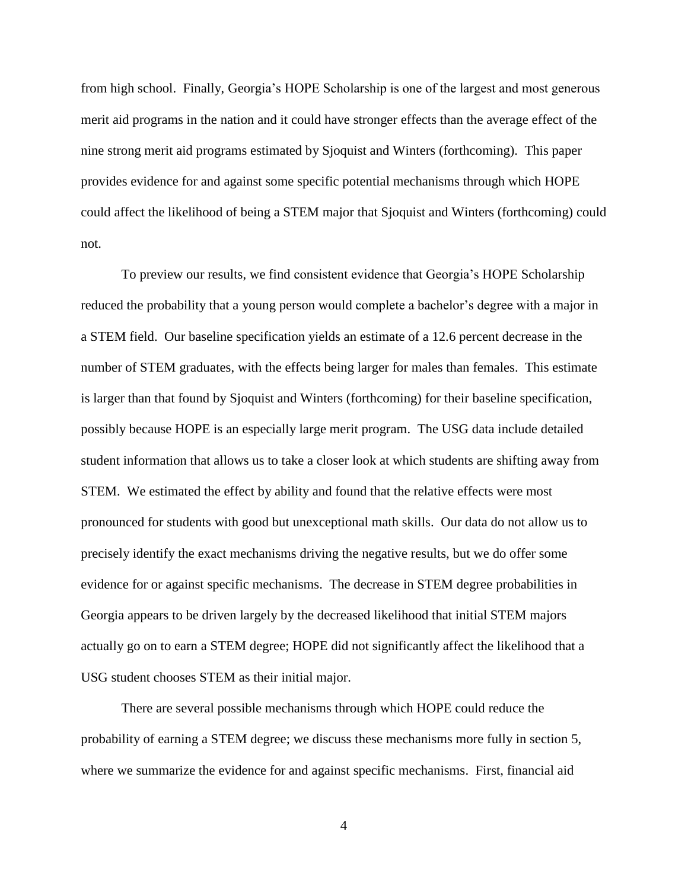from high school. Finally, Georgia's HOPE Scholarship is one of the largest and most generous merit aid programs in the nation and it could have stronger effects than the average effect of the nine strong merit aid programs estimated by Sjoquist and Winters (forthcoming). This paper provides evidence for and against some specific potential mechanisms through which HOPE could affect the likelihood of being a STEM major that Sjoquist and Winters (forthcoming) could not.

To preview our results, we find consistent evidence that Georgia's HOPE Scholarship reduced the probability that a young person would complete a bachelor's degree with a major in a STEM field. Our baseline specification yields an estimate of a 12.6 percent decrease in the number of STEM graduates, with the effects being larger for males than females. This estimate is larger than that found by Sjoquist and Winters (forthcoming) for their baseline specification, possibly because HOPE is an especially large merit program. The USG data include detailed student information that allows us to take a closer look at which students are shifting away from STEM. We estimated the effect by ability and found that the relative effects were most pronounced for students with good but unexceptional math skills. Our data do not allow us to precisely identify the exact mechanisms driving the negative results, but we do offer some evidence for or against specific mechanisms. The decrease in STEM degree probabilities in Georgia appears to be driven largely by the decreased likelihood that initial STEM majors actually go on to earn a STEM degree; HOPE did not significantly affect the likelihood that a USG student chooses STEM as their initial major.

There are several possible mechanisms through which HOPE could reduce the probability of earning a STEM degree; we discuss these mechanisms more fully in section 5, where we summarize the evidence for and against specific mechanisms. First, financial aid

4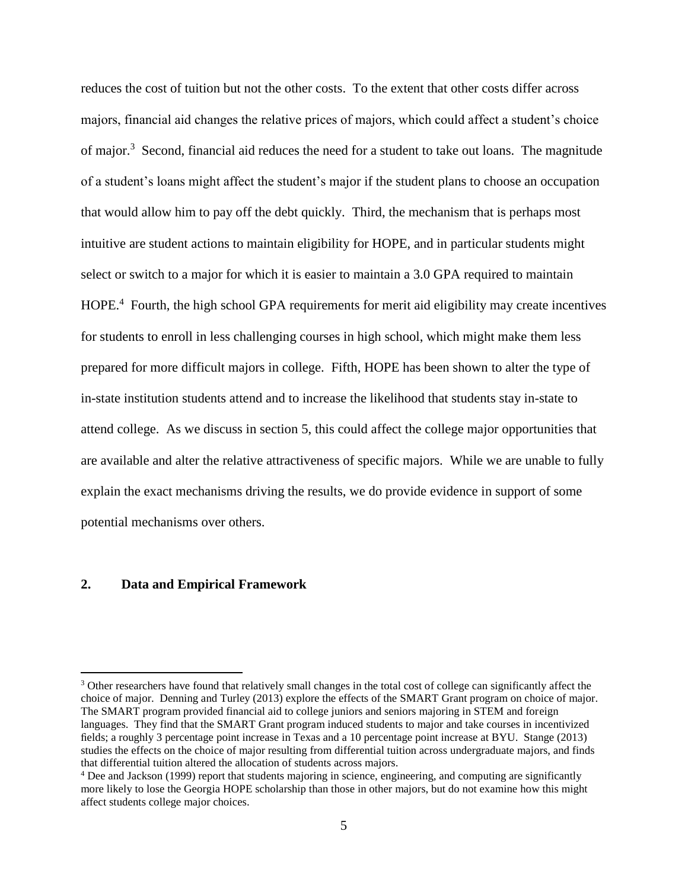reduces the cost of tuition but not the other costs. To the extent that other costs differ across majors, financial aid changes the relative prices of majors, which could affect a student's choice of major.<sup>3</sup> Second, financial aid reduces the need for a student to take out loans. The magnitude of a student's loans might affect the student's major if the student plans to choose an occupation that would allow him to pay off the debt quickly. Third, the mechanism that is perhaps most intuitive are student actions to maintain eligibility for HOPE, and in particular students might select or switch to a major for which it is easier to maintain a 3.0 GPA required to maintain HOPE.<sup>4</sup> Fourth, the high school GPA requirements for merit aid eligibility may create incentives for students to enroll in less challenging courses in high school, which might make them less prepared for more difficult majors in college. Fifth, HOPE has been shown to alter the type of in-state institution students attend and to increase the likelihood that students stay in-state to attend college. As we discuss in section 5, this could affect the college major opportunities that are available and alter the relative attractiveness of specific majors. While we are unable to fully explain the exact mechanisms driving the results, we do provide evidence in support of some potential mechanisms over others.

#### **2. Data and Empirical Framework**

<sup>&</sup>lt;sup>3</sup> Other researchers have found that relatively small changes in the total cost of college can significantly affect the choice of major. Denning and Turley (2013) explore the effects of the SMART Grant program on choice of major. The SMART program provided financial aid to college juniors and seniors majoring in STEM and foreign languages. They find that the SMART Grant program induced students to major and take courses in incentivized fields; a roughly 3 percentage point increase in Texas and a 10 percentage point increase at BYU. Stange (2013) studies the effects on the choice of major resulting from differential tuition across undergraduate majors, and finds that differential tuition altered the allocation of students across majors.

<sup>4</sup> Dee and Jackson (1999) report that students majoring in science, engineering, and computing are significantly more likely to lose the Georgia HOPE scholarship than those in other majors, but do not examine how this might affect students college major choices.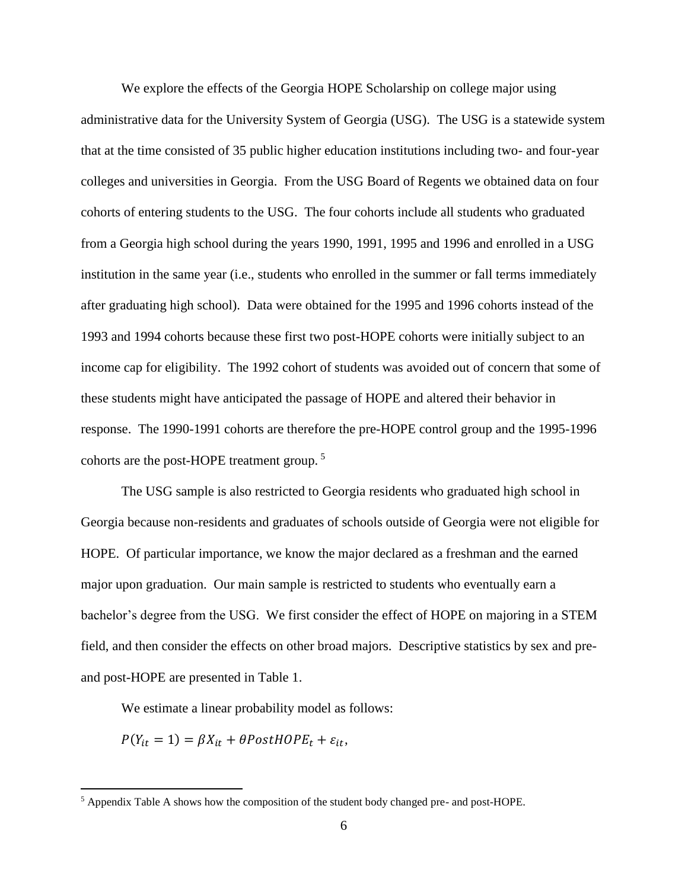We explore the effects of the Georgia HOPE Scholarship on college major using administrative data for the University System of Georgia (USG). The USG is a statewide system that at the time consisted of 35 public higher education institutions including two- and four-year colleges and universities in Georgia. From the USG Board of Regents we obtained data on four cohorts of entering students to the USG. The four cohorts include all students who graduated from a Georgia high school during the years 1990, 1991, 1995 and 1996 and enrolled in a USG institution in the same year (i.e., students who enrolled in the summer or fall terms immediately after graduating high school). Data were obtained for the 1995 and 1996 cohorts instead of the 1993 and 1994 cohorts because these first two post-HOPE cohorts were initially subject to an income cap for eligibility. The 1992 cohort of students was avoided out of concern that some of these students might have anticipated the passage of HOPE and altered their behavior in response. The 1990-1991 cohorts are therefore the pre-HOPE control group and the 1995-1996 cohorts are the post-HOPE treatment group. <sup>5</sup>

The USG sample is also restricted to Georgia residents who graduated high school in Georgia because non-residents and graduates of schools outside of Georgia were not eligible for HOPE. Of particular importance, we know the major declared as a freshman and the earned major upon graduation. Our main sample is restricted to students who eventually earn a bachelor's degree from the USG. We first consider the effect of HOPE on majoring in a STEM field, and then consider the effects on other broad majors. Descriptive statistics by sex and preand post-HOPE are presented in Table 1.

We estimate a linear probability model as follows:

 $P(Y_{it} = 1) = \beta X_{it} + \theta PostH OPE_t + \varepsilon_{it},$ 

<sup>5</sup> Appendix Table A shows how the composition of the student body changed pre- and post-HOPE.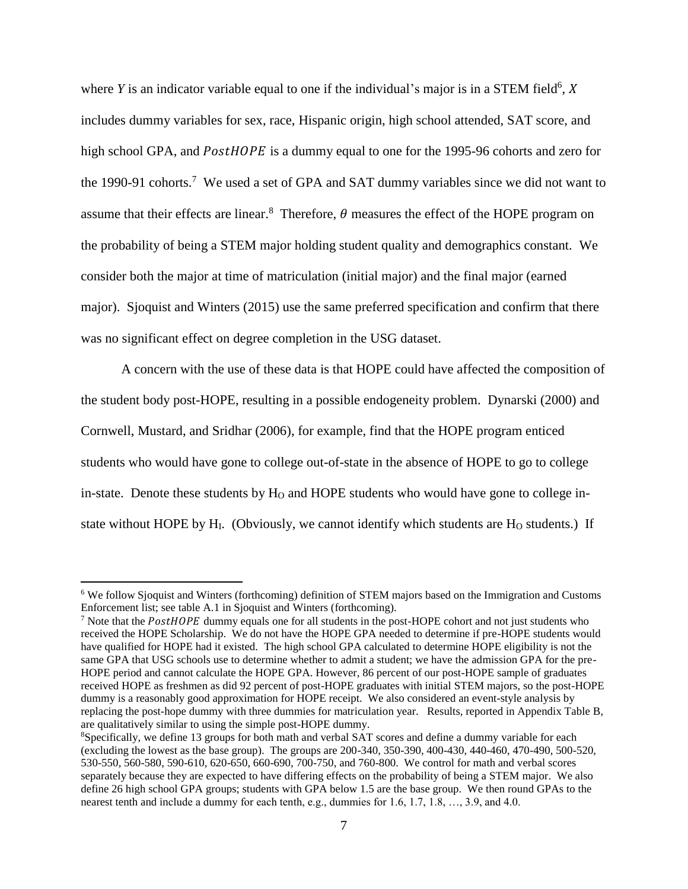where  $Y$  is an indicator variable equal to one if the individual's major is in a STEM field<sup>6</sup>,  $X$ includes dummy variables for sex, race, Hispanic origin, high school attended, SAT score, and high school GPA, and *PostHOPE* is a dummy equal to one for the 1995-96 cohorts and zero for the 1990-91 cohorts.<sup>7</sup> We used a set of GPA and SAT dummy variables since we did not want to assume that their effects are linear.<sup>8</sup> Therefore,  $\theta$  measures the effect of the HOPE program on the probability of being a STEM major holding student quality and demographics constant. We consider both the major at time of matriculation (initial major) and the final major (earned major). Sjoquist and Winters (2015) use the same preferred specification and confirm that there was no significant effect on degree completion in the USG dataset.

A concern with the use of these data is that HOPE could have affected the composition of the student body post-HOPE, resulting in a possible endogeneity problem. Dynarski (2000) and Cornwell, Mustard, and Sridhar (2006), for example, find that the HOPE program enticed students who would have gone to college out-of-state in the absence of HOPE to go to college in-state. Denote these students by  $H<sub>O</sub>$  and HOPE students who would have gone to college instate without HOPE by  $H<sub>I</sub>$ . (Obviously, we cannot identify which students are  $H<sub>O</sub>$  students.) If

<sup>6</sup> We follow Sjoquist and Winters (forthcoming) definition of STEM majors based on the Immigration and Customs Enforcement list; see table A.1 in Sjoquist and Winters (forthcoming).

<sup>&</sup>lt;sup>7</sup> Note that the  $PostHOPE$  dummy equals one for all students in the post-HOPE cohort and not just students who received the HOPE Scholarship. We do not have the HOPE GPA needed to determine if pre-HOPE students would have qualified for HOPE had it existed. The high school GPA calculated to determine HOPE eligibility is not the same GPA that USG schools use to determine whether to admit a student; we have the admission GPA for the pre-HOPE period and cannot calculate the HOPE GPA. However, 86 percent of our post-HOPE sample of graduates received HOPE as freshmen as did 92 percent of post-HOPE graduates with initial STEM majors, so the post-HOPE dummy is a reasonably good approximation for HOPE receipt. We also considered an event-style analysis by replacing the post-hope dummy with three dummies for matriculation year. Results, reported in Appendix Table B, are qualitatively similar to using the simple post-HOPE dummy.

<sup>8</sup>Specifically, we define 13 groups for both math and verbal SAT scores and define a dummy variable for each (excluding the lowest as the base group). The groups are 200-340, 350-390, 400-430, 440-460, 470-490, 500-520, 530-550, 560-580, 590-610, 620-650, 660-690, 700-750, and 760-800. We control for math and verbal scores separately because they are expected to have differing effects on the probability of being a STEM major. We also define 26 high school GPA groups; students with GPA below 1.5 are the base group. We then round GPAs to the nearest tenth and include a dummy for each tenth, e.g., dummies for 1.6, 1.7, 1.8, …, 3.9, and 4.0.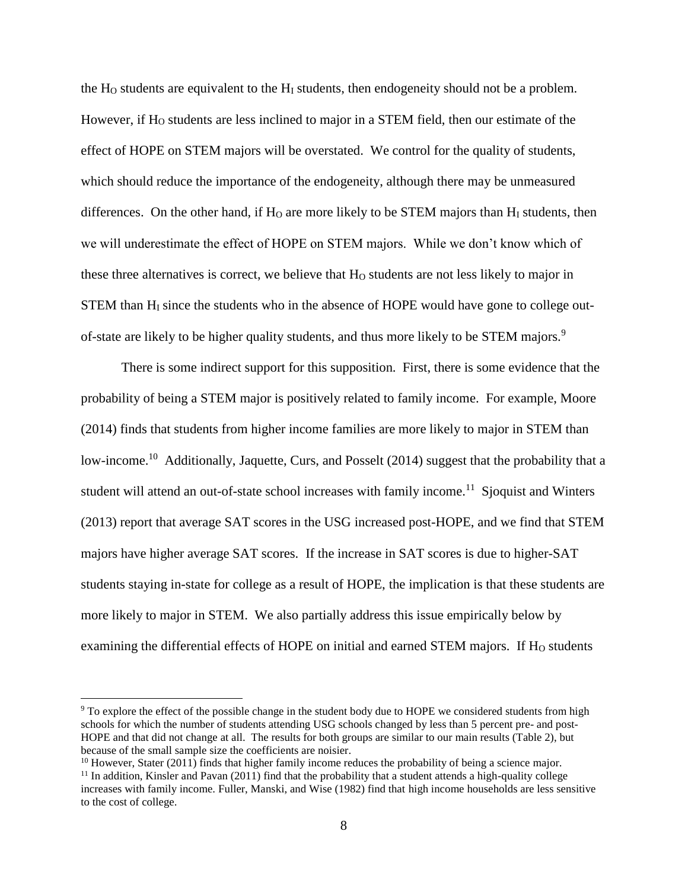the  $H_0$  students are equivalent to the  $H_I$  students, then endogeneity should not be a problem. However, if H<sub>O</sub> students are less inclined to major in a STEM field, then our estimate of the effect of HOPE on STEM majors will be overstated. We control for the quality of students, which should reduce the importance of the endogeneity, although there may be unmeasured differences. On the other hand, if  $H_0$  are more likely to be STEM majors than  $H_1$  students, then we will underestimate the effect of HOPE on STEM majors. While we don't know which of these three alternatives is correct, we believe that  $H<sub>0</sub>$  students are not less likely to major in  $STEM$  than  $H<sub>I</sub>$  since the students who in the absence of HOPE would have gone to college outof-state are likely to be higher quality students, and thus more likely to be STEM majors.<sup>9</sup>

There is some indirect support for this supposition. First, there is some evidence that the probability of being a STEM major is positively related to family income. For example, Moore (2014) finds that students from higher income families are more likely to major in STEM than low-income.<sup>10</sup> Additionally, Jaquette, Curs, and Posselt (2014) suggest that the probability that a student will attend an out-of-state school increases with family income.<sup>11</sup> Sjoquist and Winters (2013) report that average SAT scores in the USG increased post-HOPE, and we find that STEM majors have higher average SAT scores. If the increase in SAT scores is due to higher-SAT students staying in-state for college as a result of HOPE, the implication is that these students are more likely to major in STEM. We also partially address this issue empirically below by examining the differential effects of HOPE on initial and earned STEM majors. If H<sub>O</sub> students

<sup>&</sup>lt;sup>9</sup> To explore the effect of the possible change in the student body due to HOPE we considered students from high schools for which the number of students attending USG schools changed by less than 5 percent pre- and post-HOPE and that did not change at all. The results for both groups are similar to our main results (Table 2), but because of the small sample size the coefficients are noisier.

 $10$  However, Stater (2011) finds that higher family income reduces the probability of being a science major.

 $11$  In addition, Kinsler and Pavan (2011) find that the probability that a student attends a high-quality college increases with family income. Fuller, Manski, and Wise (1982) find that high income households are less sensitive to the cost of college.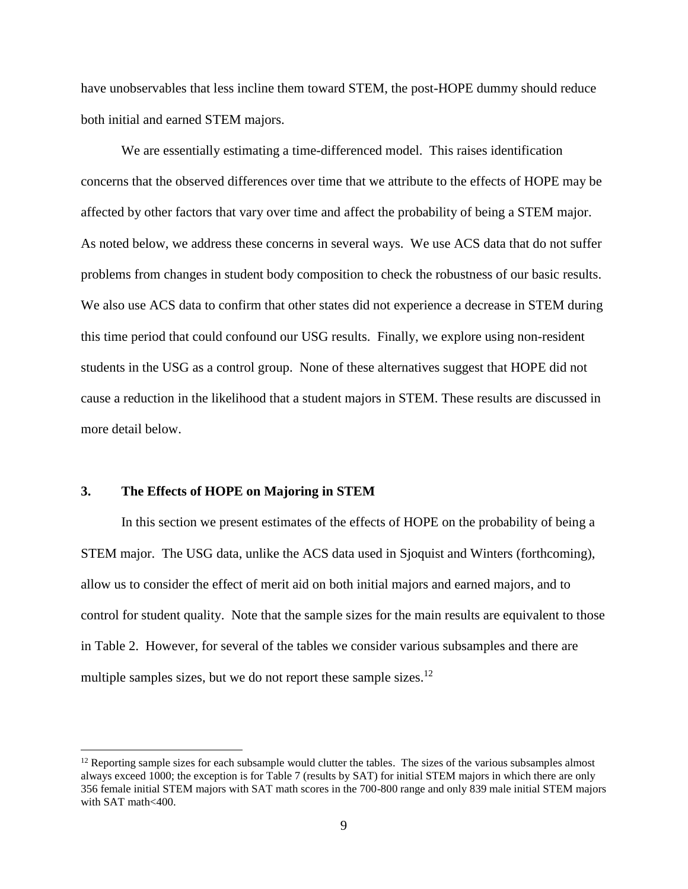have unobservables that less incline them toward STEM, the post-HOPE dummy should reduce both initial and earned STEM majors.

We are essentially estimating a time-differenced model. This raises identification concerns that the observed differences over time that we attribute to the effects of HOPE may be affected by other factors that vary over time and affect the probability of being a STEM major. As noted below, we address these concerns in several ways. We use ACS data that do not suffer problems from changes in student body composition to check the robustness of our basic results. We also use ACS data to confirm that other states did not experience a decrease in STEM during this time period that could confound our USG results. Finally, we explore using non-resident students in the USG as a control group. None of these alternatives suggest that HOPE did not cause a reduction in the likelihood that a student majors in STEM. These results are discussed in more detail below.

#### **3. The Effects of HOPE on Majoring in STEM**

 $\overline{a}$ 

In this section we present estimates of the effects of HOPE on the probability of being a STEM major. The USG data, unlike the ACS data used in Sjoquist and Winters (forthcoming), allow us to consider the effect of merit aid on both initial majors and earned majors, and to control for student quality. Note that the sample sizes for the main results are equivalent to those in Table 2. However, for several of the tables we consider various subsamples and there are multiple samples sizes, but we do not report these sample sizes.<sup>12</sup>

 $12$  Reporting sample sizes for each subsample would clutter the tables. The sizes of the various subsamples almost always exceed 1000; the exception is for Table 7 (results by SAT) for initial STEM majors in which there are only 356 female initial STEM majors with SAT math scores in the 700-800 range and only 839 male initial STEM majors with SAT math<400.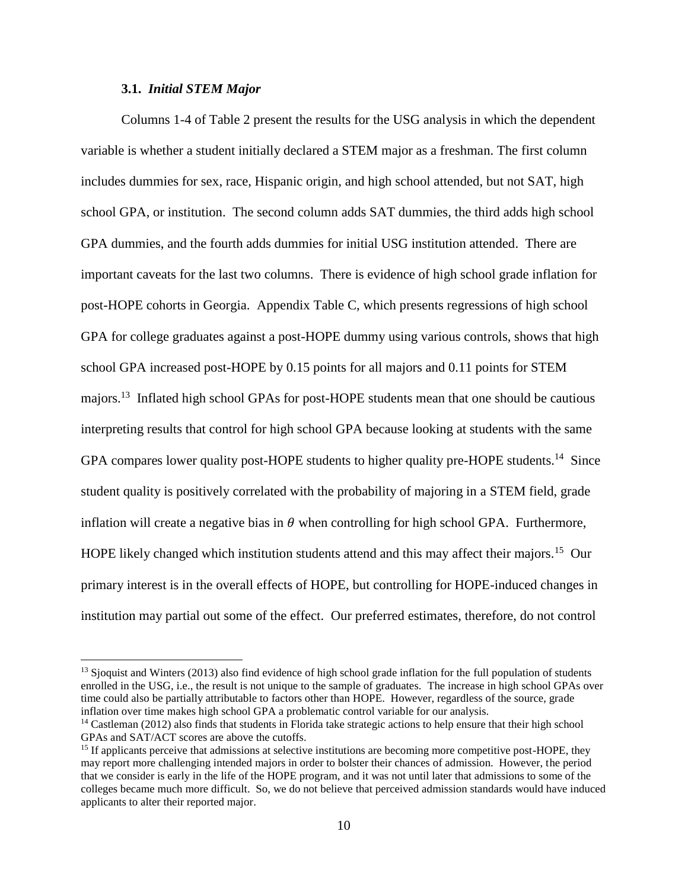#### **3.1.** *Initial STEM Major*

 $\overline{a}$ 

Columns 1-4 of Table 2 present the results for the USG analysis in which the dependent variable is whether a student initially declared a STEM major as a freshman. The first column includes dummies for sex, race, Hispanic origin, and high school attended, but not SAT, high school GPA, or institution. The second column adds SAT dummies, the third adds high school GPA dummies, and the fourth adds dummies for initial USG institution attended. There are important caveats for the last two columns. There is evidence of high school grade inflation for post-HOPE cohorts in Georgia. Appendix Table C, which presents regressions of high school GPA for college graduates against a post-HOPE dummy using various controls, shows that high school GPA increased post-HOPE by 0.15 points for all majors and 0.11 points for STEM majors.<sup>13</sup> Inflated high school GPAs for post-HOPE students mean that one should be cautious interpreting results that control for high school GPA because looking at students with the same GPA compares lower quality post-HOPE students to higher quality pre-HOPE students.<sup>14</sup> Since student quality is positively correlated with the probability of majoring in a STEM field, grade inflation will create a negative bias in  $\theta$  when controlling for high school GPA. Furthermore, HOPE likely changed which institution students attend and this may affect their majors.<sup>15</sup> Our primary interest is in the overall effects of HOPE, but controlling for HOPE-induced changes in institution may partial out some of the effect. Our preferred estimates, therefore, do not control

<sup>&</sup>lt;sup>13</sup> Sjoquist and Winters (2013) also find evidence of high school grade inflation for the full population of students enrolled in the USG, i.e., the result is not unique to the sample of graduates. The increase in high school GPAs over time could also be partially attributable to factors other than HOPE. However, regardless of the source, grade inflation over time makes high school GPA a problematic control variable for our analysis.

<sup>&</sup>lt;sup>14</sup> Castleman (2012) also finds that students in Florida take strategic actions to help ensure that their high school GPAs and SAT/ACT scores are above the cutoffs.

<sup>&</sup>lt;sup>15</sup> If applicants perceive that admissions at selective institutions are becoming more competitive post-HOPE, they may report more challenging intended majors in order to bolster their chances of admission. However, the period that we consider is early in the life of the HOPE program, and it was not until later that admissions to some of the colleges became much more difficult. So, we do not believe that perceived admission standards would have induced applicants to alter their reported major.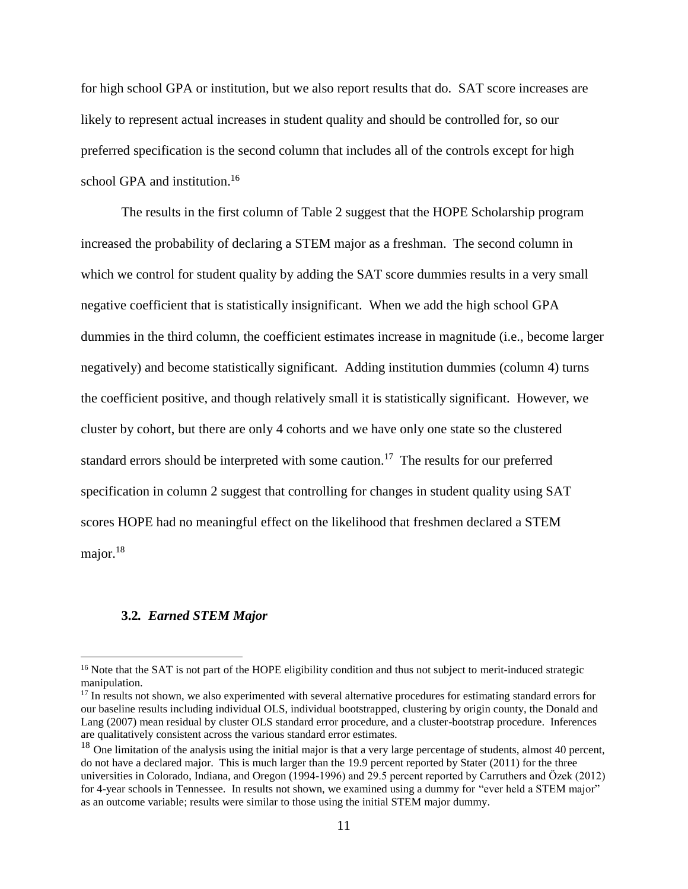for high school GPA or institution, but we also report results that do. SAT score increases are likely to represent actual increases in student quality and should be controlled for, so our preferred specification is the second column that includes all of the controls except for high school GPA and institution.<sup>16</sup>

The results in the first column of Table 2 suggest that the HOPE Scholarship program increased the probability of declaring a STEM major as a freshman. The second column in which we control for student quality by adding the SAT score dummies results in a very small negative coefficient that is statistically insignificant. When we add the high school GPA dummies in the third column, the coefficient estimates increase in magnitude (i.e., become larger negatively) and become statistically significant. Adding institution dummies (column 4) turns the coefficient positive, and though relatively small it is statistically significant. However, we cluster by cohort, but there are only 4 cohorts and we have only one state so the clustered standard errors should be interpreted with some caution.<sup>17</sup> The results for our preferred specification in column 2 suggest that controlling for changes in student quality using SAT scores HOPE had no meaningful effect on the likelihood that freshmen declared a STEM major.<sup>18</sup>

#### **3.2***. Earned STEM Major*

<sup>&</sup>lt;sup>16</sup> Note that the SAT is not part of the HOPE eligibility condition and thus not subject to merit-induced strategic manipulation.

<sup>&</sup>lt;sup>17</sup> In results not shown, we also experimented with several alternative procedures for estimating standard errors for our baseline results including individual OLS, individual bootstrapped, clustering by origin county, the Donald and Lang (2007) mean residual by cluster OLS standard error procedure, and a cluster-bootstrap procedure. Inferences are qualitatively consistent across the various standard error estimates.

 $18$  One limitation of the analysis using the initial major is that a very large percentage of students, almost 40 percent, do not have a declared major. This is much larger than the 19.9 percent reported by Stater (2011) for the three universities in Colorado, Indiana, and Oregon (1994-1996) and 29.5 percent reported by Carruthers and Özek (2012) for 4-year schools in Tennessee. In results not shown, we examined using a dummy for "ever held a STEM major" as an outcome variable; results were similar to those using the initial STEM major dummy.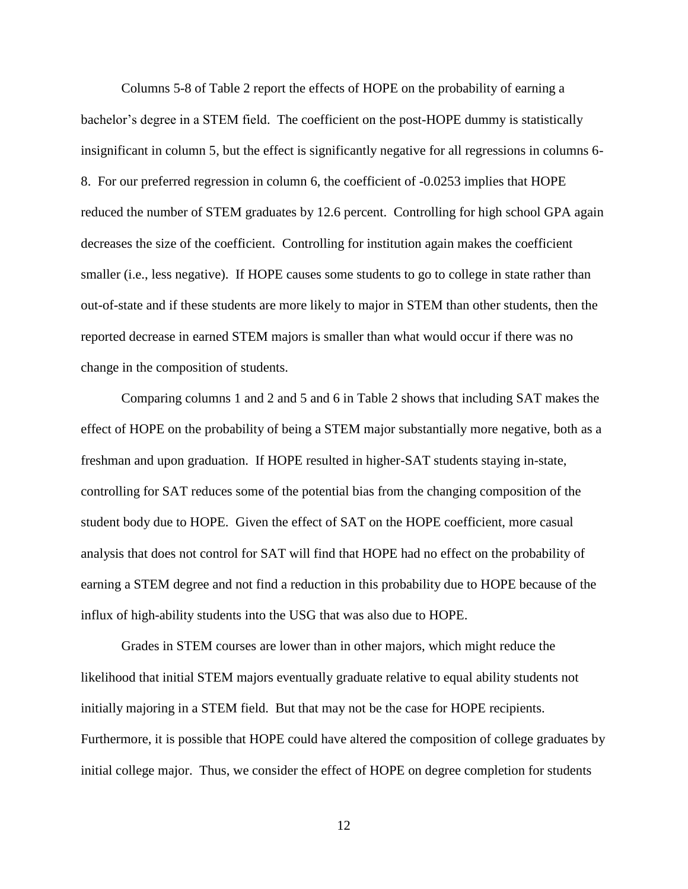Columns 5-8 of Table 2 report the effects of HOPE on the probability of earning a bachelor's degree in a STEM field. The coefficient on the post-HOPE dummy is statistically insignificant in column 5, but the effect is significantly negative for all regressions in columns 6- 8. For our preferred regression in column 6, the coefficient of -0.0253 implies that HOPE reduced the number of STEM graduates by 12.6 percent. Controlling for high school GPA again decreases the size of the coefficient. Controlling for institution again makes the coefficient smaller (i.e., less negative). If HOPE causes some students to go to college in state rather than out-of-state and if these students are more likely to major in STEM than other students, then the reported decrease in earned STEM majors is smaller than what would occur if there was no change in the composition of students.

Comparing columns 1 and 2 and 5 and 6 in Table 2 shows that including SAT makes the effect of HOPE on the probability of being a STEM major substantially more negative, both as a freshman and upon graduation. If HOPE resulted in higher-SAT students staying in-state, controlling for SAT reduces some of the potential bias from the changing composition of the student body due to HOPE. Given the effect of SAT on the HOPE coefficient, more casual analysis that does not control for SAT will find that HOPE had no effect on the probability of earning a STEM degree and not find a reduction in this probability due to HOPE because of the influx of high-ability students into the USG that was also due to HOPE.

Grades in STEM courses are lower than in other majors, which might reduce the likelihood that initial STEM majors eventually graduate relative to equal ability students not initially majoring in a STEM field. But that may not be the case for HOPE recipients. Furthermore, it is possible that HOPE could have altered the composition of college graduates by initial college major. Thus, we consider the effect of HOPE on degree completion for students

12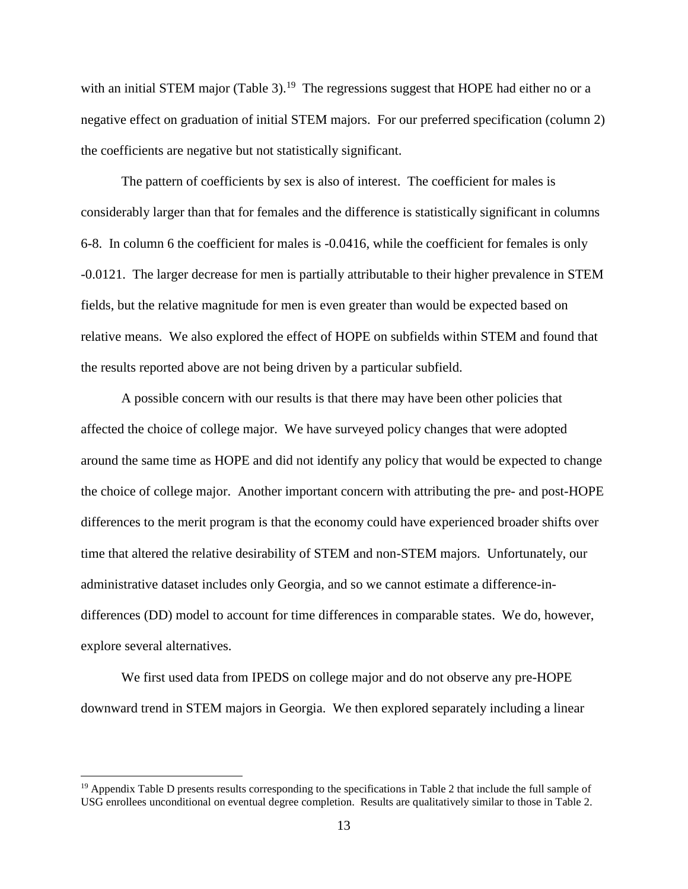with an initial STEM major (Table 3).<sup>19</sup> The regressions suggest that HOPE had either no or a negative effect on graduation of initial STEM majors. For our preferred specification (column 2) the coefficients are negative but not statistically significant.

The pattern of coefficients by sex is also of interest. The coefficient for males is considerably larger than that for females and the difference is statistically significant in columns 6-8. In column 6 the coefficient for males is -0.0416, while the coefficient for females is only -0.0121. The larger decrease for men is partially attributable to their higher prevalence in STEM fields, but the relative magnitude for men is even greater than would be expected based on relative means. We also explored the effect of HOPE on subfields within STEM and found that the results reported above are not being driven by a particular subfield.

A possible concern with our results is that there may have been other policies that affected the choice of college major. We have surveyed policy changes that were adopted around the same time as HOPE and did not identify any policy that would be expected to change the choice of college major. Another important concern with attributing the pre- and post-HOPE differences to the merit program is that the economy could have experienced broader shifts over time that altered the relative desirability of STEM and non-STEM majors. Unfortunately, our administrative dataset includes only Georgia, and so we cannot estimate a difference-indifferences (DD) model to account for time differences in comparable states. We do, however, explore several alternatives.

We first used data from IPEDS on college major and do not observe any pre-HOPE downward trend in STEM majors in Georgia. We then explored separately including a linear

 $19$  Appendix Table D presents results corresponding to the specifications in Table 2 that include the full sample of USG enrollees unconditional on eventual degree completion. Results are qualitatively similar to those in Table 2.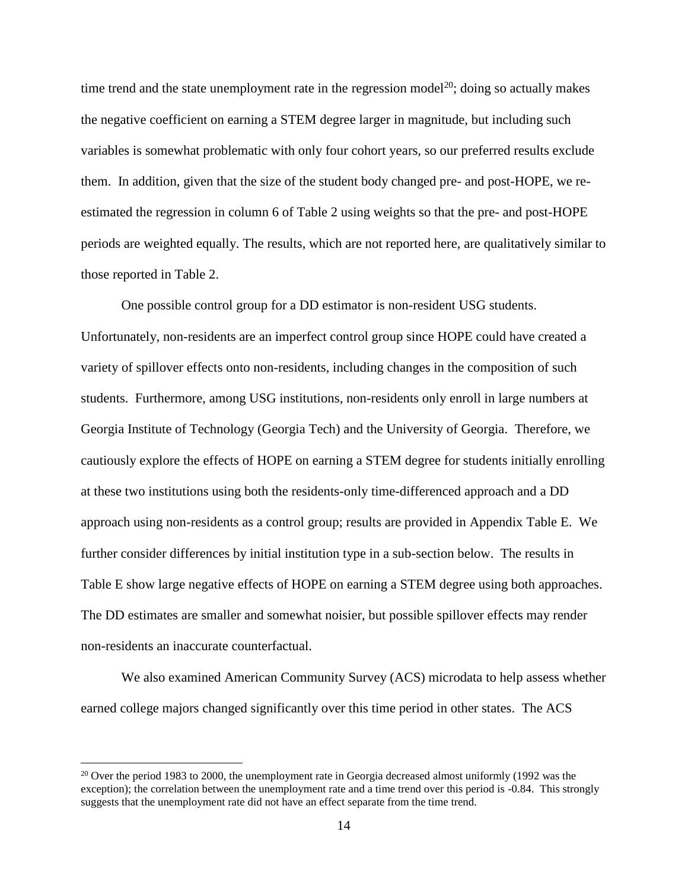time trend and the state unemployment rate in the regression model<sup>20</sup>; doing so actually makes the negative coefficient on earning a STEM degree larger in magnitude, but including such variables is somewhat problematic with only four cohort years, so our preferred results exclude them. In addition, given that the size of the student body changed pre- and post-HOPE, we reestimated the regression in column 6 of Table 2 using weights so that the pre- and post-HOPE periods are weighted equally. The results, which are not reported here, are qualitatively similar to those reported in Table 2.

One possible control group for a DD estimator is non-resident USG students. Unfortunately, non-residents are an imperfect control group since HOPE could have created a variety of spillover effects onto non-residents, including changes in the composition of such students. Furthermore, among USG institutions, non-residents only enroll in large numbers at Georgia Institute of Technology (Georgia Tech) and the University of Georgia. Therefore, we cautiously explore the effects of HOPE on earning a STEM degree for students initially enrolling at these two institutions using both the residents-only time-differenced approach and a DD approach using non-residents as a control group; results are provided in Appendix Table E. We further consider differences by initial institution type in a sub-section below. The results in Table E show large negative effects of HOPE on earning a STEM degree using both approaches. The DD estimates are smaller and somewhat noisier, but possible spillover effects may render non-residents an inaccurate counterfactual.

We also examined American Community Survey (ACS) microdata to help assess whether earned college majors changed significantly over this time period in other states. The ACS

<sup>&</sup>lt;sup>20</sup> Over the period 1983 to 2000, the unemployment rate in Georgia decreased almost uniformly (1992 was the exception); the correlation between the unemployment rate and a time trend over this period is -0.84. This strongly suggests that the unemployment rate did not have an effect separate from the time trend.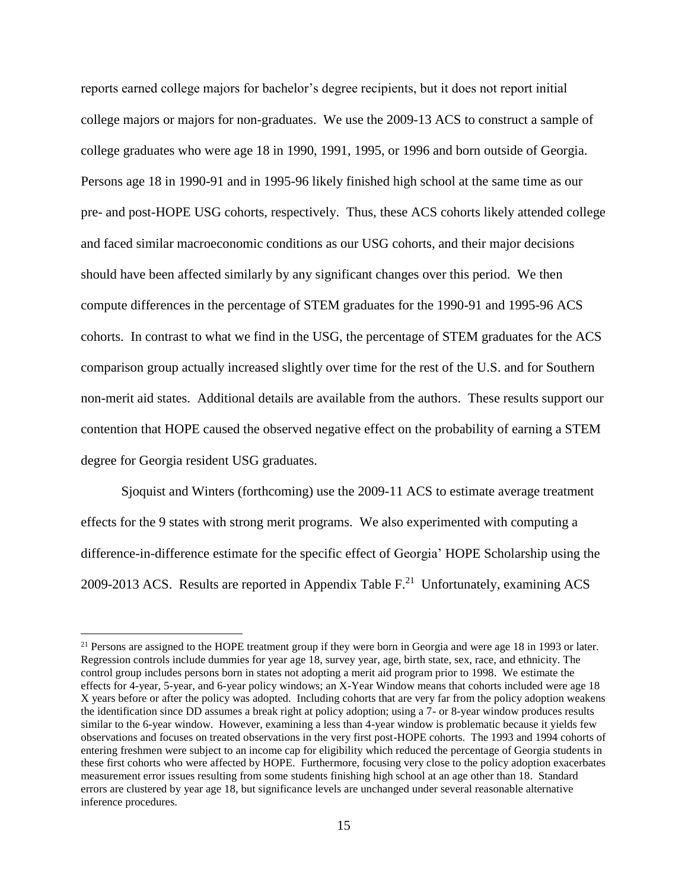reports earned college majors for bachelor's degree recipients, but it does not report initial college majors or majors for non-graduates. We use the 2009-13 ACS to construct a sample of college graduates who were age 18 in 1990, 1991, 1995, or 1996 and born outside of Georgia. Persons age 18 in 1990-91 and in 1995-96 likely finished high school at the same time as our pre- and post-HOPE USG cohorts, respectively. Thus, these ACS cohorts likely attended college and faced similar macroeconomic conditions as our USG cohorts, and their major decisions should have been affected similarly by any significant changes over this period. We then compute differences in the percentage of STEM graduates for the 1990-91 and 1995-96 ACS cohorts. In contrast to what we find in the USG, the percentage of STEM graduates for the ACS comparison group actually increased slightly over time for the rest of the U.S. and for Southern non-merit aid states. Additional details are available from the authors. These results support our contention that HOPE caused the observed negative effect on the probability of earning a STEM degree for Georgia resident USG graduates.

Sjoquist and Winters (forthcoming) use the 2009-11 ACS to estimate average treatment effects for the 9 states with strong merit programs. We also experimented with computing a difference-in-difference estimate for the specific effect of Georgia' HOPE Scholarship using the 2009-2013 ACS. Results are reported in Appendix Table  $F<sup>21</sup>$  Unfortunately, examining ACS

<sup>&</sup>lt;sup>21</sup> Persons are assigned to the HOPE treatment group if they were born in Georgia and were age 18 in 1993 or later. Regression controls include dummies for year age 18, survey year, age, birth state, sex, race, and ethnicity. The control group includes persons born in states not adopting a merit aid program prior to 1998. We estimate the effects for 4-year, 5-year, and 6-year policy windows; an X-Year Window means that cohorts included were age 18 X years before or after the policy was adopted. Including cohorts that are very far from the policy adoption weakens the identification since DD assumes a break right at policy adoption; using a 7- or 8-year window produces results similar to the 6-year window. However, examining a less than 4-year window is problematic because it yields few observations and focuses on treated observations in the very first post-HOPE cohorts. The 1993 and 1994 cohorts of entering freshmen were subject to an income cap for eligibility which reduced the percentage of Georgia students in these first cohorts who were affected by HOPE. Furthermore, focusing very close to the policy adoption exacerbates measurement error issues resulting from some students finishing high school at an age other than 18. Standard errors are clustered by year age 18, but significance levels are unchanged under several reasonable alternative inference procedures.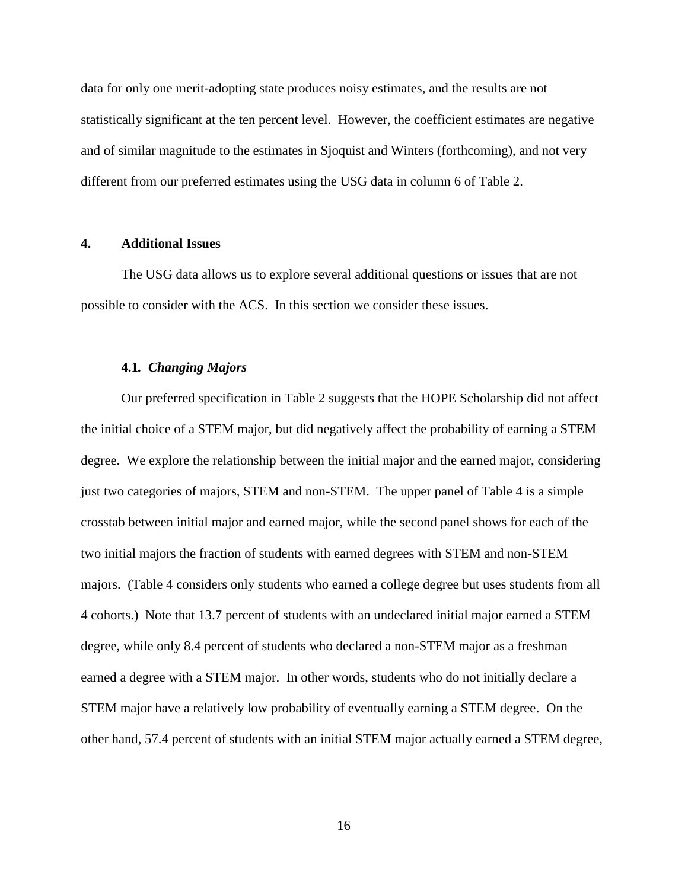data for only one merit-adopting state produces noisy estimates, and the results are not statistically significant at the ten percent level. However, the coefficient estimates are negative and of similar magnitude to the estimates in Sjoquist and Winters (forthcoming), and not very different from our preferred estimates using the USG data in column 6 of Table 2.

#### **4. Additional Issues**

The USG data allows us to explore several additional questions or issues that are not possible to consider with the ACS. In this section we consider these issues.

#### **4.1***. Changing Majors*

Our preferred specification in Table 2 suggests that the HOPE Scholarship did not affect the initial choice of a STEM major, but did negatively affect the probability of earning a STEM degree. We explore the relationship between the initial major and the earned major, considering just two categories of majors, STEM and non-STEM. The upper panel of Table 4 is a simple crosstab between initial major and earned major, while the second panel shows for each of the two initial majors the fraction of students with earned degrees with STEM and non-STEM majors. (Table 4 considers only students who earned a college degree but uses students from all 4 cohorts.) Note that 13.7 percent of students with an undeclared initial major earned a STEM degree, while only 8.4 percent of students who declared a non-STEM major as a freshman earned a degree with a STEM major. In other words, students who do not initially declare a STEM major have a relatively low probability of eventually earning a STEM degree. On the other hand, 57.4 percent of students with an initial STEM major actually earned a STEM degree,

16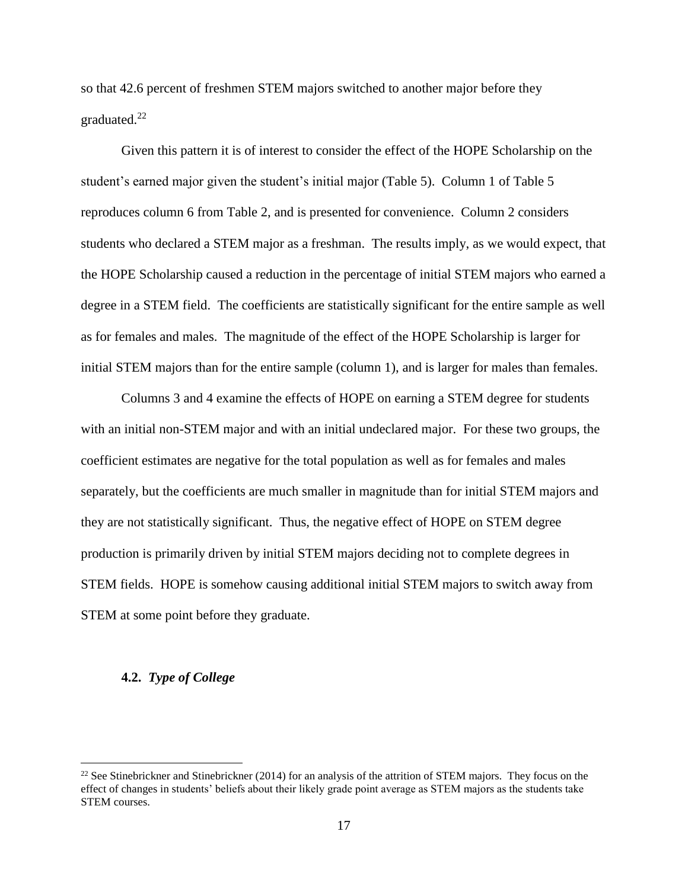so that 42.6 percent of freshmen STEM majors switched to another major before they graduated.<sup>22</sup>

Given this pattern it is of interest to consider the effect of the HOPE Scholarship on the student's earned major given the student's initial major (Table 5). Column 1 of Table 5 reproduces column 6 from Table 2, and is presented for convenience. Column 2 considers students who declared a STEM major as a freshman. The results imply, as we would expect, that the HOPE Scholarship caused a reduction in the percentage of initial STEM majors who earned a degree in a STEM field. The coefficients are statistically significant for the entire sample as well as for females and males. The magnitude of the effect of the HOPE Scholarship is larger for initial STEM majors than for the entire sample (column 1), and is larger for males than females.

Columns 3 and 4 examine the effects of HOPE on earning a STEM degree for students with an initial non-STEM major and with an initial undeclared major. For these two groups, the coefficient estimates are negative for the total population as well as for females and males separately, but the coefficients are much smaller in magnitude than for initial STEM majors and they are not statistically significant. Thus, the negative effect of HOPE on STEM degree production is primarily driven by initial STEM majors deciding not to complete degrees in STEM fields. HOPE is somehow causing additional initial STEM majors to switch away from STEM at some point before they graduate.

#### **4.2.** *Type of College*

<sup>&</sup>lt;sup>22</sup> See Stinebrickner and Stinebrickner (2014) for an analysis of the attrition of STEM majors. They focus on the effect of changes in students' beliefs about their likely grade point average as STEM majors as the students take STEM courses.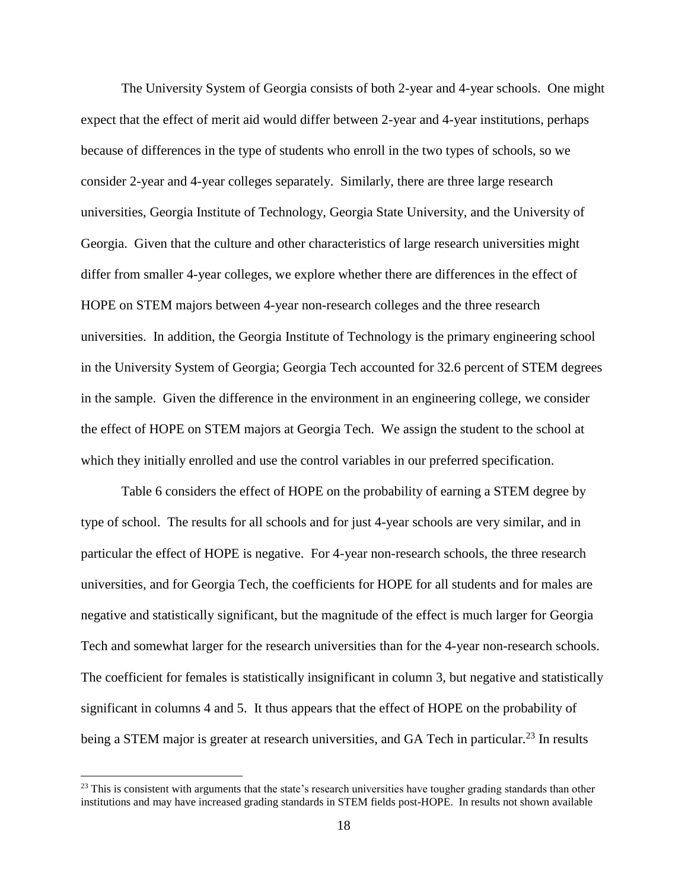The University System of Georgia consists of both 2-year and 4-year schools. One might expect that the effect of merit aid would differ between 2-year and 4-year institutions, perhaps because of differences in the type of students who enroll in the two types of schools, so we consider 2-year and 4-year colleges separately. Similarly, there are three large research universities, Georgia Institute of Technology, Georgia State University, and the University of Georgia. Given that the culture and other characteristics of large research universities might differ from smaller 4-year colleges, we explore whether there are differences in the effect of HOPE on STEM majors between 4-year non-research colleges and the three research universities. In addition, the Georgia Institute of Technology is the primary engineering school in the University System of Georgia; Georgia Tech accounted for 32.6 percent of STEM degrees in the sample. Given the difference in the environment in an engineering college, we consider the effect of HOPE on STEM majors at Georgia Tech. We assign the student to the school at which they initially enrolled and use the control variables in our preferred specification.

Table 6 considers the effect of HOPE on the probability of earning a STEM degree by type of school. The results for all schools and for just 4-year schools are very similar, and in particular the effect of HOPE is negative. For 4-year non-research schools, the three research universities, and for Georgia Tech, the coefficients for HOPE for all students and for males are negative and statistically significant, but the magnitude of the effect is much larger for Georgia Tech and somewhat larger for the research universities than for the 4-year non-research schools. The coefficient for females is statistically insignificant in column 3, but negative and statistically significant in columns 4 and 5. It thus appears that the effect of HOPE on the probability of being a STEM major is greater at research universities, and GA Tech in particular.<sup>23</sup> In results

 $^{23}$  This is consistent with arguments that the state's research universities have tougher grading standards than other institutions and may have increased grading standards in STEM fields post-HOPE. In results not shown available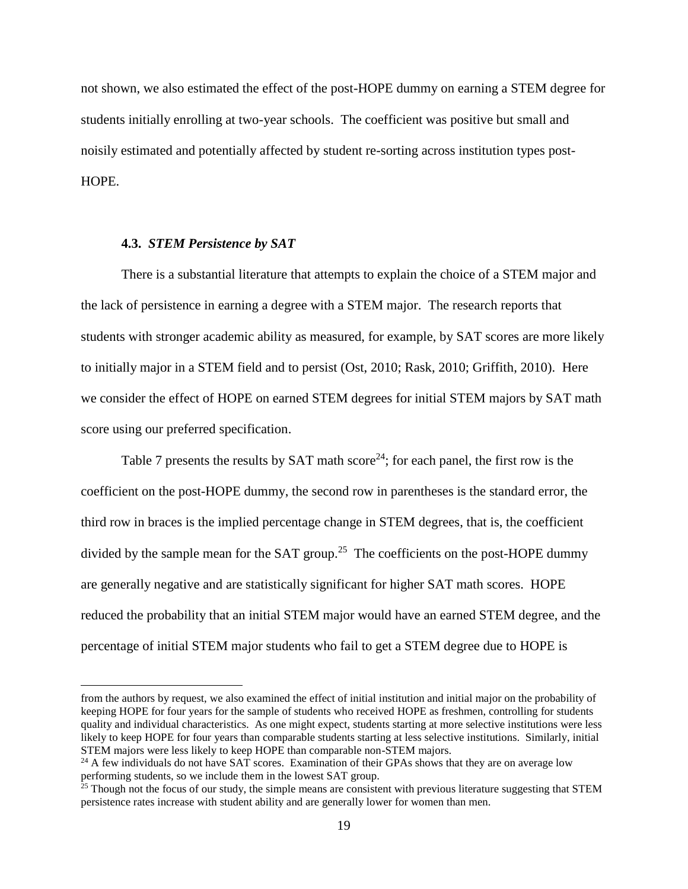not shown, we also estimated the effect of the post-HOPE dummy on earning a STEM degree for students initially enrolling at two-year schools. The coefficient was positive but small and noisily estimated and potentially affected by student re-sorting across institution types post-HOPE.

#### **4.3.** *STEM Persistence by SAT*

 $\overline{a}$ 

There is a substantial literature that attempts to explain the choice of a STEM major and the lack of persistence in earning a degree with a STEM major. The research reports that students with stronger academic ability as measured, for example, by SAT scores are more likely to initially major in a STEM field and to persist (Ost, 2010; Rask, 2010; Griffith, 2010). Here we consider the effect of HOPE on earned STEM degrees for initial STEM majors by SAT math score using our preferred specification.

Table 7 presents the results by SAT math score<sup>24</sup>; for each panel, the first row is the coefficient on the post-HOPE dummy, the second row in parentheses is the standard error, the third row in braces is the implied percentage change in STEM degrees, that is, the coefficient divided by the sample mean for the SAT group.<sup>25</sup> The coefficients on the post-HOPE dummy are generally negative and are statistically significant for higher SAT math scores. HOPE reduced the probability that an initial STEM major would have an earned STEM degree, and the percentage of initial STEM major students who fail to get a STEM degree due to HOPE is

from the authors by request, we also examined the effect of initial institution and initial major on the probability of keeping HOPE for four years for the sample of students who received HOPE as freshmen, controlling for students quality and individual characteristics. As one might expect, students starting at more selective institutions were less likely to keep HOPE for four years than comparable students starting at less selective institutions. Similarly, initial STEM majors were less likely to keep HOPE than comparable non-STEM majors.

 $^{24}$  A few individuals do not have SAT scores. Examination of their GPAs shows that they are on average low performing students, so we include them in the lowest SAT group.

 $25$  Though not the focus of our study, the simple means are consistent with previous literature suggesting that STEM persistence rates increase with student ability and are generally lower for women than men.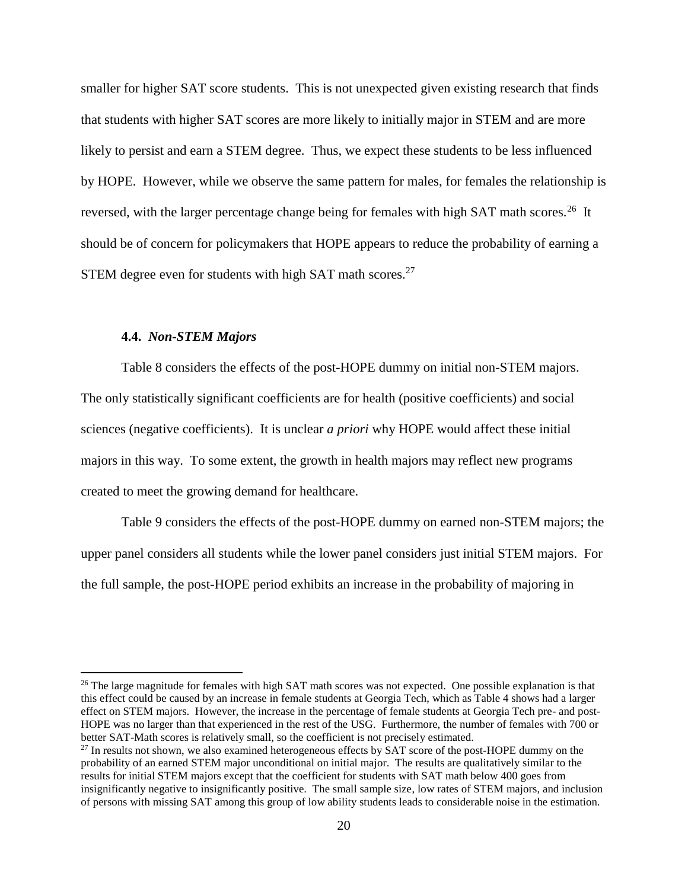smaller for higher SAT score students. This is not unexpected given existing research that finds that students with higher SAT scores are more likely to initially major in STEM and are more likely to persist and earn a STEM degree. Thus, we expect these students to be less influenced by HOPE. However, while we observe the same pattern for males, for females the relationship is reversed, with the larger percentage change being for females with high SAT math scores.<sup>26</sup> It should be of concern for policymakers that HOPE appears to reduce the probability of earning a STEM degree even for students with high SAT math scores.<sup>27</sup>

#### **4.4.** *Non-STEM Majors*

 $\overline{a}$ 

Table 8 considers the effects of the post-HOPE dummy on initial non-STEM majors. The only statistically significant coefficients are for health (positive coefficients) and social sciences (negative coefficients). It is unclear *a priori* why HOPE would affect these initial majors in this way. To some extent, the growth in health majors may reflect new programs created to meet the growing demand for healthcare.

Table 9 considers the effects of the post-HOPE dummy on earned non-STEM majors; the upper panel considers all students while the lower panel considers just initial STEM majors. For the full sample, the post-HOPE period exhibits an increase in the probability of majoring in

<sup>&</sup>lt;sup>26</sup> The large magnitude for females with high SAT math scores was not expected. One possible explanation is that this effect could be caused by an increase in female students at Georgia Tech, which as Table 4 shows had a larger effect on STEM majors. However, the increase in the percentage of female students at Georgia Tech pre- and post-HOPE was no larger than that experienced in the rest of the USG. Furthermore, the number of females with 700 or better SAT-Math scores is relatively small, so the coefficient is not precisely estimated.

<sup>&</sup>lt;sup>27</sup> In results not shown, we also examined heterogeneous effects by SAT score of the post-HOPE dummy on the probability of an earned STEM major unconditional on initial major. The results are qualitatively similar to the results for initial STEM majors except that the coefficient for students with SAT math below 400 goes from insignificantly negative to insignificantly positive. The small sample size, low rates of STEM majors, and inclusion of persons with missing SAT among this group of low ability students leads to considerable noise in the estimation.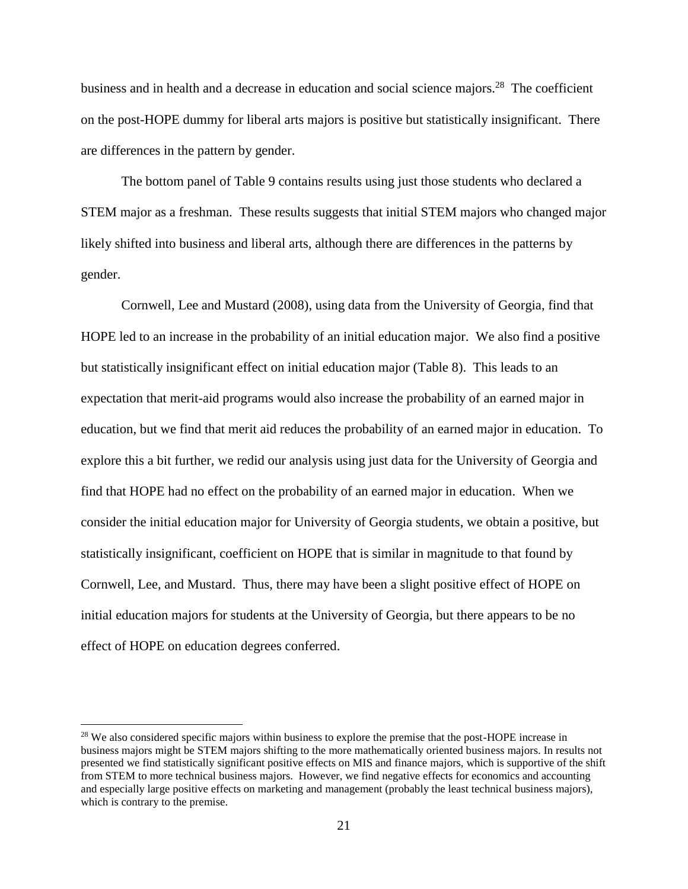business and in health and a decrease in education and social science majors.<sup>28</sup> The coefficient on the post-HOPE dummy for liberal arts majors is positive but statistically insignificant. There are differences in the pattern by gender.

The bottom panel of Table 9 contains results using just those students who declared a STEM major as a freshman. These results suggests that initial STEM majors who changed major likely shifted into business and liberal arts, although there are differences in the patterns by gender.

Cornwell, Lee and Mustard (2008), using data from the University of Georgia, find that HOPE led to an increase in the probability of an initial education major. We also find a positive but statistically insignificant effect on initial education major (Table 8). This leads to an expectation that merit-aid programs would also increase the probability of an earned major in education, but we find that merit aid reduces the probability of an earned major in education. To explore this a bit further, we redid our analysis using just data for the University of Georgia and find that HOPE had no effect on the probability of an earned major in education. When we consider the initial education major for University of Georgia students, we obtain a positive, but statistically insignificant, coefficient on HOPE that is similar in magnitude to that found by Cornwell, Lee, and Mustard. Thus, there may have been a slight positive effect of HOPE on initial education majors for students at the University of Georgia, but there appears to be no effect of HOPE on education degrees conferred.

<sup>&</sup>lt;sup>28</sup> We also considered specific majors within business to explore the premise that the post-HOPE increase in business majors might be STEM majors shifting to the more mathematically oriented business majors. In results not presented we find statistically significant positive effects on MIS and finance majors, which is supportive of the shift from STEM to more technical business majors. However, we find negative effects for economics and accounting and especially large positive effects on marketing and management (probably the least technical business majors), which is contrary to the premise.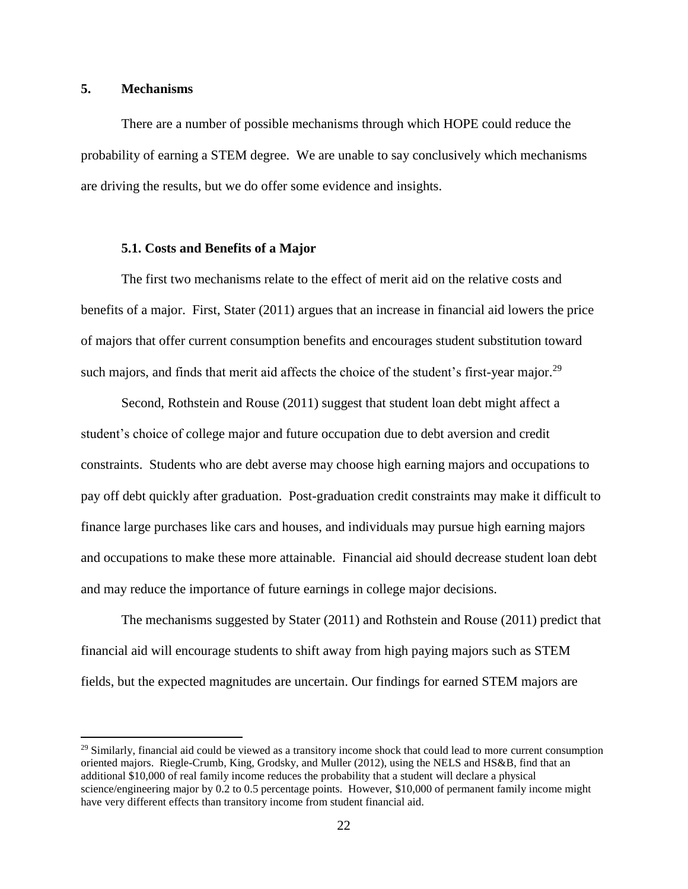#### **5. Mechanisms**

 $\overline{a}$ 

There are a number of possible mechanisms through which HOPE could reduce the probability of earning a STEM degree. We are unable to say conclusively which mechanisms are driving the results, but we do offer some evidence and insights.

#### **5.1. Costs and Benefits of a Major**

The first two mechanisms relate to the effect of merit aid on the relative costs and benefits of a major. First, Stater (2011) argues that an increase in financial aid lowers the price of majors that offer current consumption benefits and encourages student substitution toward such majors, and finds that merit aid affects the choice of the student's first-year major.<sup>29</sup>

Second, Rothstein and Rouse (2011) suggest that student loan debt might affect a student's choice of college major and future occupation due to debt aversion and credit constraints. Students who are debt averse may choose high earning majors and occupations to pay off debt quickly after graduation. Post-graduation credit constraints may make it difficult to finance large purchases like cars and houses, and individuals may pursue high earning majors and occupations to make these more attainable. Financial aid should decrease student loan debt and may reduce the importance of future earnings in college major decisions.

The mechanisms suggested by Stater (2011) and Rothstein and Rouse (2011) predict that financial aid will encourage students to shift away from high paying majors such as STEM fields, but the expected magnitudes are uncertain. Our findings for earned STEM majors are

 $^{29}$  Similarly, financial aid could be viewed as a transitory income shock that could lead to more current consumption oriented majors. Riegle-Crumb, King, Grodsky, and Muller (2012), using the NELS and HS&B, find that an additional \$10,000 of real family income reduces the probability that a student will declare a physical science/engineering major by 0.2 to 0.5 percentage points. However, \$10,000 of permanent family income might have very different effects than transitory income from student financial aid.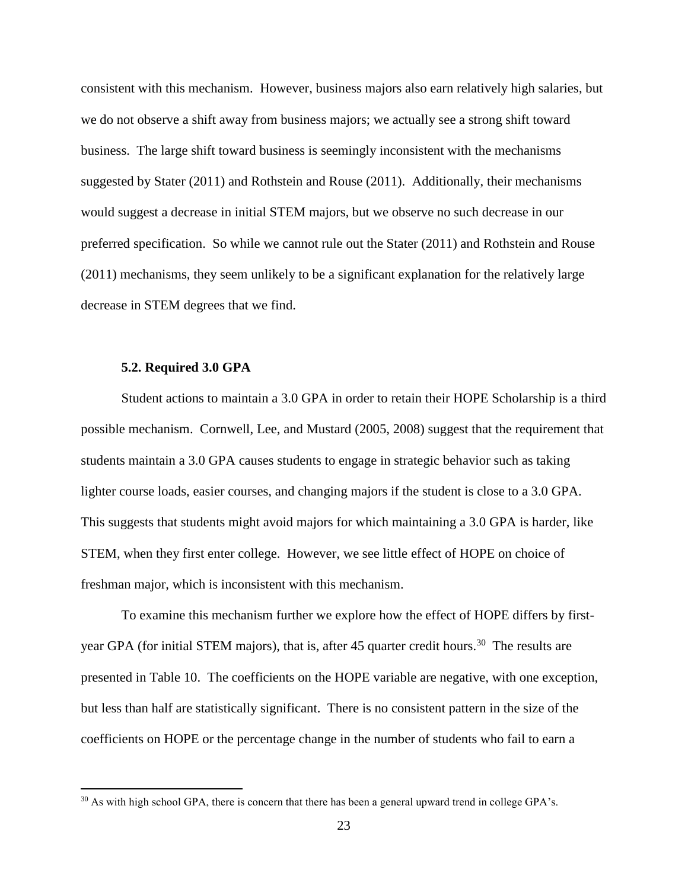consistent with this mechanism. However, business majors also earn relatively high salaries, but we do not observe a shift away from business majors; we actually see a strong shift toward business. The large shift toward business is seemingly inconsistent with the mechanisms suggested by Stater (2011) and Rothstein and Rouse (2011). Additionally, their mechanisms would suggest a decrease in initial STEM majors, but we observe no such decrease in our preferred specification. So while we cannot rule out the Stater (2011) and Rothstein and Rouse (2011) mechanisms, they seem unlikely to be a significant explanation for the relatively large decrease in STEM degrees that we find.

#### **5.2. Required 3.0 GPA**

 $\overline{a}$ 

Student actions to maintain a 3.0 GPA in order to retain their HOPE Scholarship is a third possible mechanism. Cornwell, Lee, and Mustard (2005, 2008) suggest that the requirement that students maintain a 3.0 GPA causes students to engage in strategic behavior such as taking lighter course loads, easier courses, and changing majors if the student is close to a 3.0 GPA. This suggests that students might avoid majors for which maintaining a 3.0 GPA is harder, like STEM, when they first enter college. However, we see little effect of HOPE on choice of freshman major, which is inconsistent with this mechanism.

To examine this mechanism further we explore how the effect of HOPE differs by firstyear GPA (for initial STEM majors), that is, after 45 quarter credit hours.<sup>30</sup> The results are presented in Table 10. The coefficients on the HOPE variable are negative, with one exception, but less than half are statistically significant. There is no consistent pattern in the size of the coefficients on HOPE or the percentage change in the number of students who fail to earn a

<sup>&</sup>lt;sup>30</sup> As with high school GPA, there is concern that there has been a general upward trend in college GPA's.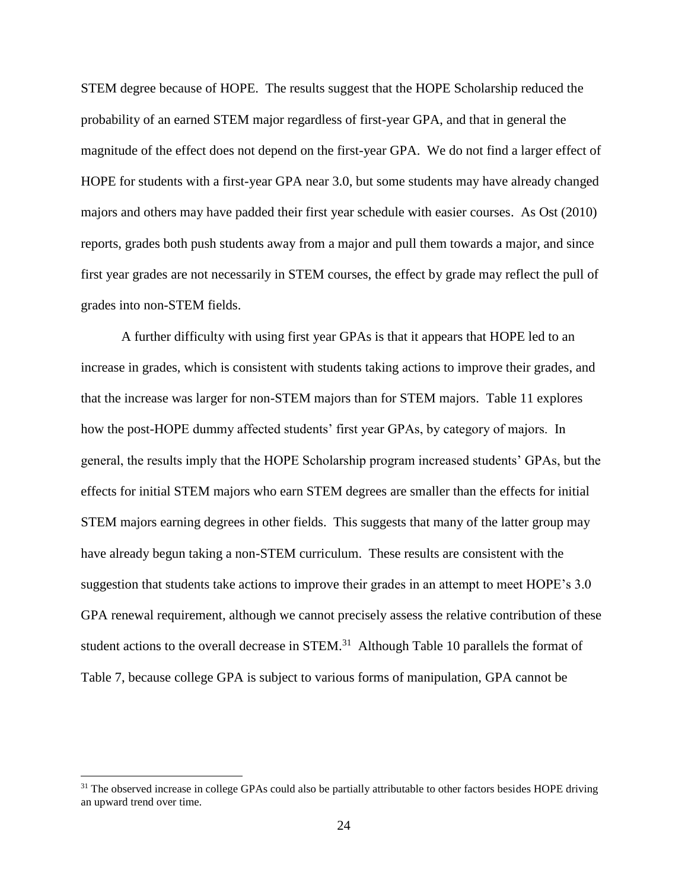STEM degree because of HOPE. The results suggest that the HOPE Scholarship reduced the probability of an earned STEM major regardless of first-year GPA, and that in general the magnitude of the effect does not depend on the first-year GPA. We do not find a larger effect of HOPE for students with a first-year GPA near 3.0, but some students may have already changed majors and others may have padded their first year schedule with easier courses. As Ost (2010) reports, grades both push students away from a major and pull them towards a major, and since first year grades are not necessarily in STEM courses, the effect by grade may reflect the pull of grades into non-STEM fields.

A further difficulty with using first year GPAs is that it appears that HOPE led to an increase in grades, which is consistent with students taking actions to improve their grades, and that the increase was larger for non-STEM majors than for STEM majors. Table 11 explores how the post-HOPE dummy affected students' first year GPAs, by category of majors. In general, the results imply that the HOPE Scholarship program increased students' GPAs, but the effects for initial STEM majors who earn STEM degrees are smaller than the effects for initial STEM majors earning degrees in other fields. This suggests that many of the latter group may have already begun taking a non-STEM curriculum. These results are consistent with the suggestion that students take actions to improve their grades in an attempt to meet HOPE's 3.0 GPA renewal requirement, although we cannot precisely assess the relative contribution of these student actions to the overall decrease in  $STEM$ <sup>31</sup> Although Table 10 parallels the format of Table 7, because college GPA is subject to various forms of manipulation, GPA cannot be

<sup>&</sup>lt;sup>31</sup> The observed increase in college GPAs could also be partially attributable to other factors besides HOPE driving an upward trend over time.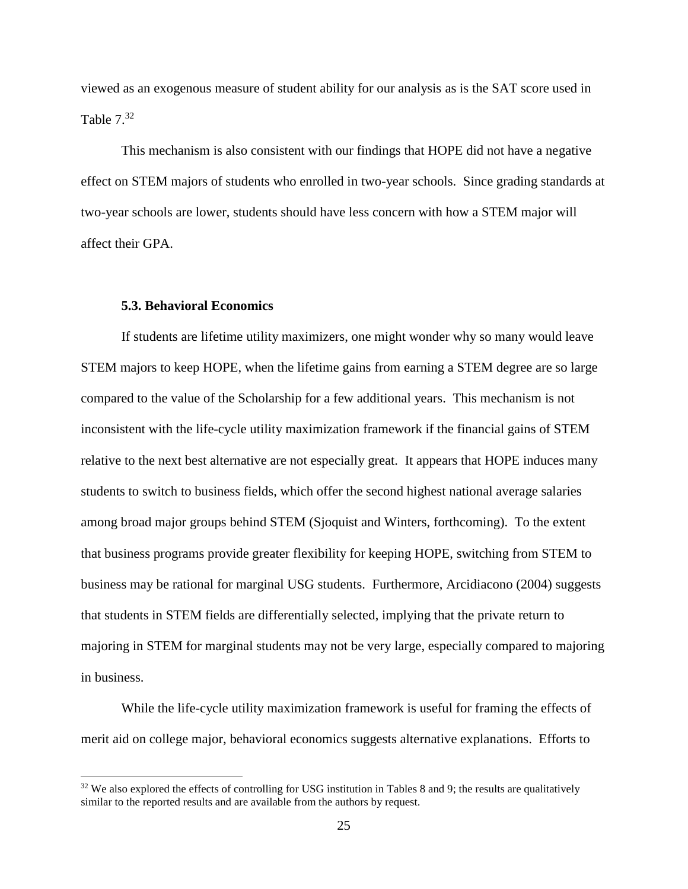viewed as an exogenous measure of student ability for our analysis as is the SAT score used in Table  $7.^{32}$ 

This mechanism is also consistent with our findings that HOPE did not have a negative effect on STEM majors of students who enrolled in two-year schools. Since grading standards at two-year schools are lower, students should have less concern with how a STEM major will affect their GPA.

#### **5.3. Behavioral Economics**

 $\overline{a}$ 

If students are lifetime utility maximizers, one might wonder why so many would leave STEM majors to keep HOPE, when the lifetime gains from earning a STEM degree are so large compared to the value of the Scholarship for a few additional years. This mechanism is not inconsistent with the life-cycle utility maximization framework if the financial gains of STEM relative to the next best alternative are not especially great. It appears that HOPE induces many students to switch to business fields, which offer the second highest national average salaries among broad major groups behind STEM (Sjoquist and Winters, forthcoming). To the extent that business programs provide greater flexibility for keeping HOPE, switching from STEM to business may be rational for marginal USG students. Furthermore, Arcidiacono (2004) suggests that students in STEM fields are differentially selected, implying that the private return to majoring in STEM for marginal students may not be very large, especially compared to majoring in business.

While the life-cycle utility maximization framework is useful for framing the effects of merit aid on college major, behavioral economics suggests alternative explanations. Efforts to

<sup>&</sup>lt;sup>32</sup> We also explored the effects of controlling for USG institution in Tables 8 and 9; the results are qualitatively similar to the reported results and are available from the authors by request.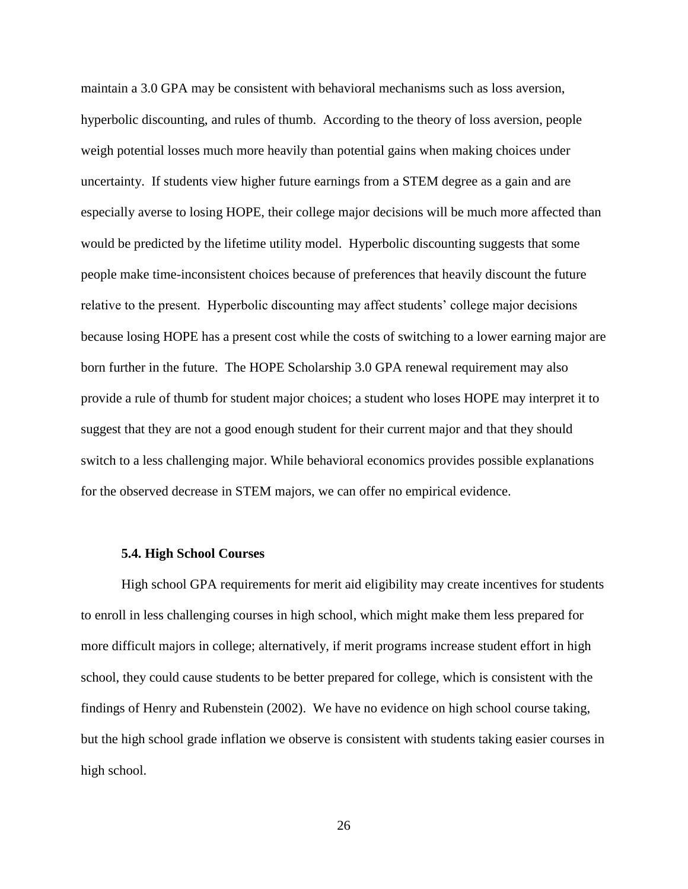maintain a 3.0 GPA may be consistent with behavioral mechanisms such as loss aversion, hyperbolic discounting, and rules of thumb. According to the theory of loss aversion, people weigh potential losses much more heavily than potential gains when making choices under uncertainty. If students view higher future earnings from a STEM degree as a gain and are especially averse to losing HOPE, their college major decisions will be much more affected than would be predicted by the lifetime utility model. Hyperbolic discounting suggests that some people make time-inconsistent choices because of preferences that heavily discount the future relative to the present. Hyperbolic discounting may affect students' college major decisions because losing HOPE has a present cost while the costs of switching to a lower earning major are born further in the future. The HOPE Scholarship 3.0 GPA renewal requirement may also provide a rule of thumb for student major choices; a student who loses HOPE may interpret it to suggest that they are not a good enough student for their current major and that they should switch to a less challenging major. While behavioral economics provides possible explanations for the observed decrease in STEM majors, we can offer no empirical evidence.

#### **5.4. High School Courses**

High school GPA requirements for merit aid eligibility may create incentives for students to enroll in less challenging courses in high school, which might make them less prepared for more difficult majors in college; alternatively, if merit programs increase student effort in high school, they could cause students to be better prepared for college, which is consistent with the findings of Henry and Rubenstein (2002). We have no evidence on high school course taking, but the high school grade inflation we observe is consistent with students taking easier courses in high school.

26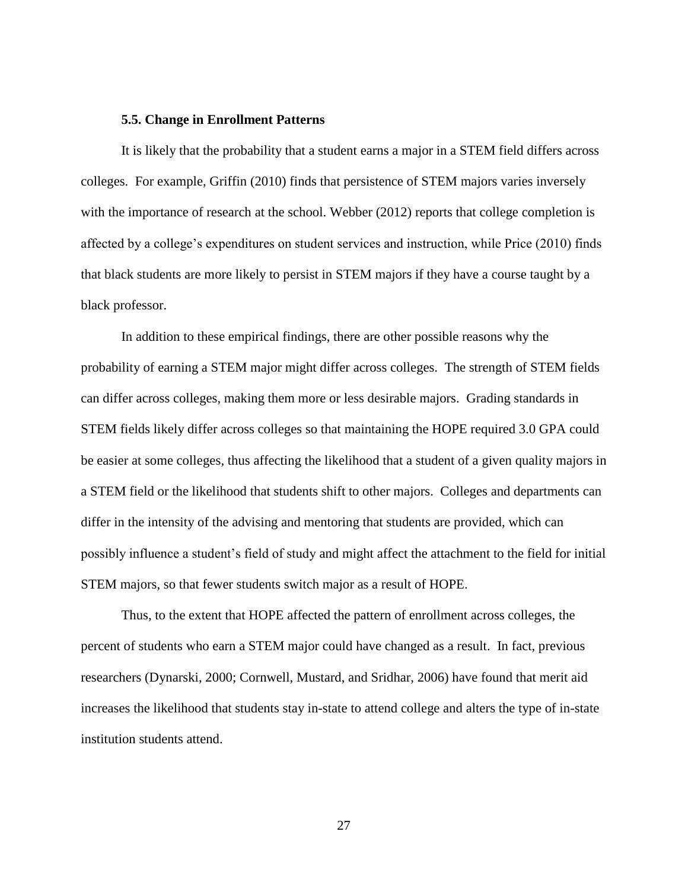#### **5.5. Change in Enrollment Patterns**

It is likely that the probability that a student earns a major in a STEM field differs across colleges. For example, Griffin (2010) finds that persistence of STEM majors varies inversely with the importance of research at the school. Webber (2012) reports that college completion is affected by a college's expenditures on student services and instruction, while Price (2010) finds that black students are more likely to persist in STEM majors if they have a course taught by a black professor.

In addition to these empirical findings, there are other possible reasons why the probability of earning a STEM major might differ across colleges. The strength of STEM fields can differ across colleges, making them more or less desirable majors. Grading standards in STEM fields likely differ across colleges so that maintaining the HOPE required 3.0 GPA could be easier at some colleges, thus affecting the likelihood that a student of a given quality majors in a STEM field or the likelihood that students shift to other majors. Colleges and departments can differ in the intensity of the advising and mentoring that students are provided, which can possibly influence a student's field of study and might affect the attachment to the field for initial STEM majors, so that fewer students switch major as a result of HOPE.

Thus, to the extent that HOPE affected the pattern of enrollment across colleges, the percent of students who earn a STEM major could have changed as a result. In fact, previous researchers (Dynarski, 2000; Cornwell, Mustard, and Sridhar, 2006) have found that merit aid increases the likelihood that students stay in-state to attend college and alters the type of in-state institution students attend.

27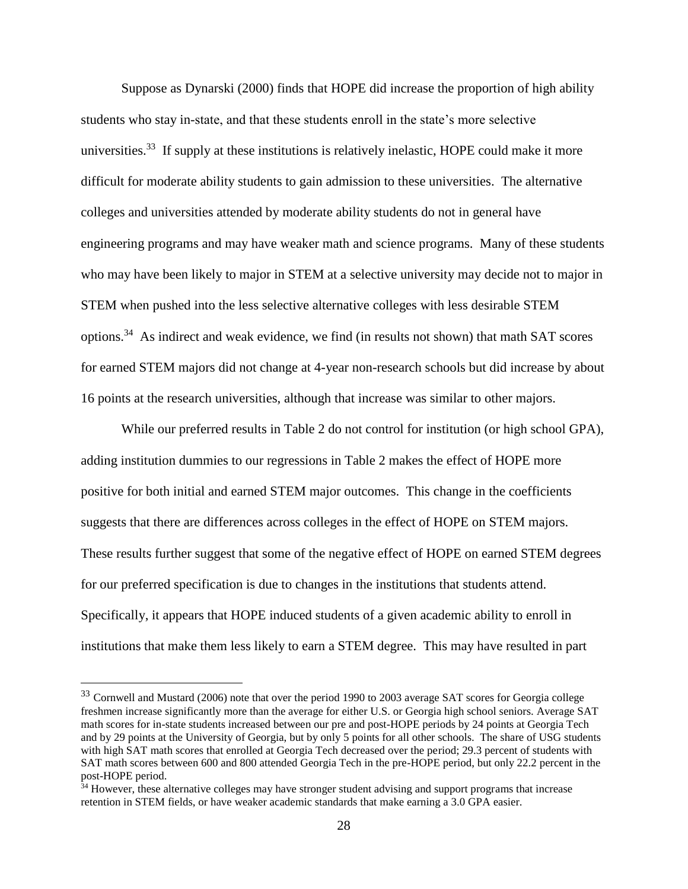Suppose as Dynarski (2000) finds that HOPE did increase the proportion of high ability students who stay in-state, and that these students enroll in the state's more selective universities.<sup>33</sup> If supply at these institutions is relatively inelastic, HOPE could make it more difficult for moderate ability students to gain admission to these universities. The alternative colleges and universities attended by moderate ability students do not in general have engineering programs and may have weaker math and science programs. Many of these students who may have been likely to major in STEM at a selective university may decide not to major in STEM when pushed into the less selective alternative colleges with less desirable STEM options.<sup>34</sup> As indirect and weak evidence, we find (in results not shown) that math SAT scores for earned STEM majors did not change at 4-year non-research schools but did increase by about 16 points at the research universities, although that increase was similar to other majors.

While our preferred results in Table 2 do not control for institution (or high school GPA), adding institution dummies to our regressions in Table 2 makes the effect of HOPE more positive for both initial and earned STEM major outcomes. This change in the coefficients suggests that there are differences across colleges in the effect of HOPE on STEM majors. These results further suggest that some of the negative effect of HOPE on earned STEM degrees for our preferred specification is due to changes in the institutions that students attend. Specifically, it appears that HOPE induced students of a given academic ability to enroll in institutions that make them less likely to earn a STEM degree. This may have resulted in part

<sup>&</sup>lt;sup>33</sup> Cornwell and Mustard (2006) note that over the period 1990 to 2003 average SAT scores for Georgia college freshmen increase significantly more than the average for either U.S. or Georgia high school seniors. Average SAT math scores for in-state students increased between our pre and post-HOPE periods by 24 points at Georgia Tech and by 29 points at the University of Georgia, but by only 5 points for all other schools. The share of USG students with high SAT math scores that enrolled at Georgia Tech decreased over the period; 29.3 percent of students with SAT math scores between 600 and 800 attended Georgia Tech in the pre-HOPE period, but only 22.2 percent in the post-HOPE period.

<sup>&</sup>lt;sup>34</sup> However, these alternative colleges may have stronger student advising and support programs that increase retention in STEM fields, or have weaker academic standards that make earning a 3.0 GPA easier.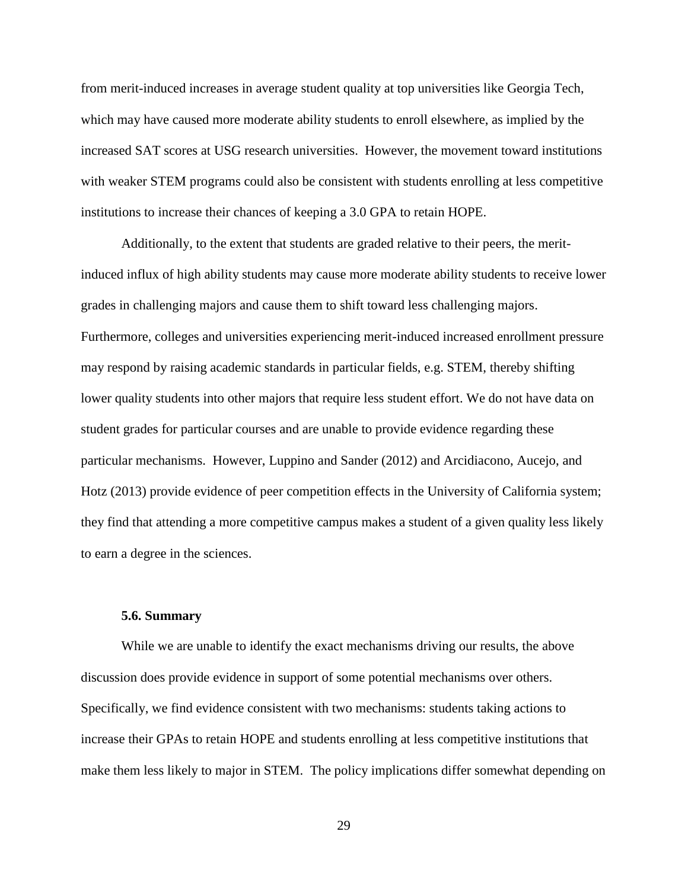from merit-induced increases in average student quality at top universities like Georgia Tech, which may have caused more moderate ability students to enroll elsewhere, as implied by the increased SAT scores at USG research universities. However, the movement toward institutions with weaker STEM programs could also be consistent with students enrolling at less competitive institutions to increase their chances of keeping a 3.0 GPA to retain HOPE.

Additionally, to the extent that students are graded relative to their peers, the meritinduced influx of high ability students may cause more moderate ability students to receive lower grades in challenging majors and cause them to shift toward less challenging majors. Furthermore, colleges and universities experiencing merit-induced increased enrollment pressure may respond by raising academic standards in particular fields, e.g. STEM, thereby shifting lower quality students into other majors that require less student effort. We do not have data on student grades for particular courses and are unable to provide evidence regarding these particular mechanisms. However, Luppino and Sander (2012) and Arcidiacono, Aucejo, and Hotz (2013) provide evidence of peer competition effects in the University of California system; they find that attending a more competitive campus makes a student of a given quality less likely to earn a degree in the sciences.

#### **5.6. Summary**

While we are unable to identify the exact mechanisms driving our results, the above discussion does provide evidence in support of some potential mechanisms over others. Specifically, we find evidence consistent with two mechanisms: students taking actions to increase their GPAs to retain HOPE and students enrolling at less competitive institutions that make them less likely to major in STEM. The policy implications differ somewhat depending on

29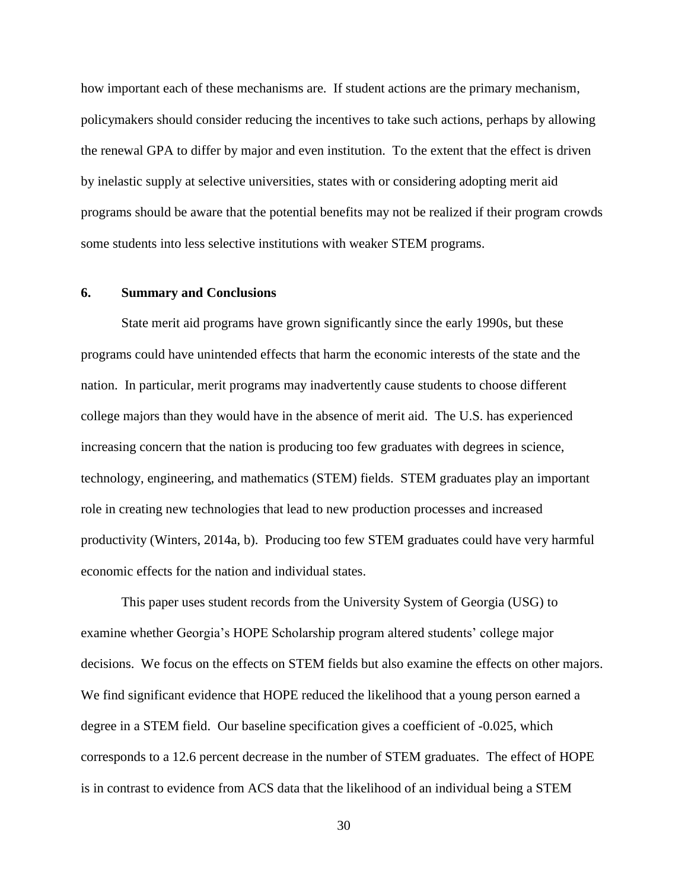how important each of these mechanisms are. If student actions are the primary mechanism, policymakers should consider reducing the incentives to take such actions, perhaps by allowing the renewal GPA to differ by major and even institution. To the extent that the effect is driven by inelastic supply at selective universities, states with or considering adopting merit aid programs should be aware that the potential benefits may not be realized if their program crowds some students into less selective institutions with weaker STEM programs.

#### **6. Summary and Conclusions**

State merit aid programs have grown significantly since the early 1990s, but these programs could have unintended effects that harm the economic interests of the state and the nation. In particular, merit programs may inadvertently cause students to choose different college majors than they would have in the absence of merit aid. The U.S. has experienced increasing concern that the nation is producing too few graduates with degrees in science, technology, engineering, and mathematics (STEM) fields. STEM graduates play an important role in creating new technologies that lead to new production processes and increased productivity (Winters, 2014a, b). Producing too few STEM graduates could have very harmful economic effects for the nation and individual states.

This paper uses student records from the University System of Georgia (USG) to examine whether Georgia's HOPE Scholarship program altered students' college major decisions. We focus on the effects on STEM fields but also examine the effects on other majors. We find significant evidence that HOPE reduced the likelihood that a young person earned a degree in a STEM field. Our baseline specification gives a coefficient of -0.025, which corresponds to a 12.6 percent decrease in the number of STEM graduates. The effect of HOPE is in contrast to evidence from ACS data that the likelihood of an individual being a STEM

30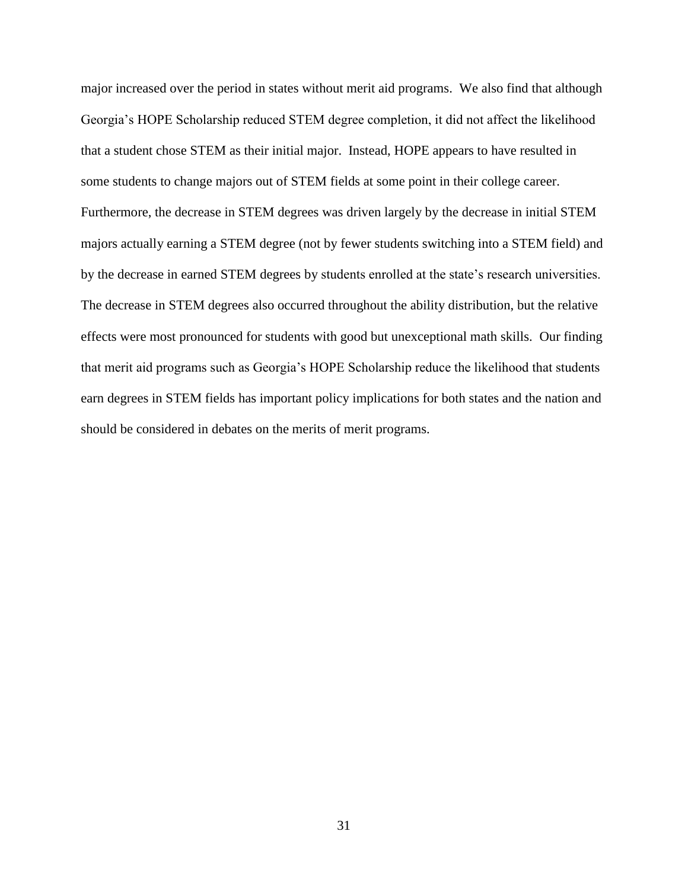major increased over the period in states without merit aid programs. We also find that although Georgia's HOPE Scholarship reduced STEM degree completion, it did not affect the likelihood that a student chose STEM as their initial major. Instead, HOPE appears to have resulted in some students to change majors out of STEM fields at some point in their college career. Furthermore, the decrease in STEM degrees was driven largely by the decrease in initial STEM majors actually earning a STEM degree (not by fewer students switching into a STEM field) and by the decrease in earned STEM degrees by students enrolled at the state's research universities. The decrease in STEM degrees also occurred throughout the ability distribution, but the relative effects were most pronounced for students with good but unexceptional math skills. Our finding that merit aid programs such as Georgia's HOPE Scholarship reduce the likelihood that students earn degrees in STEM fields has important policy implications for both states and the nation and should be considered in debates on the merits of merit programs.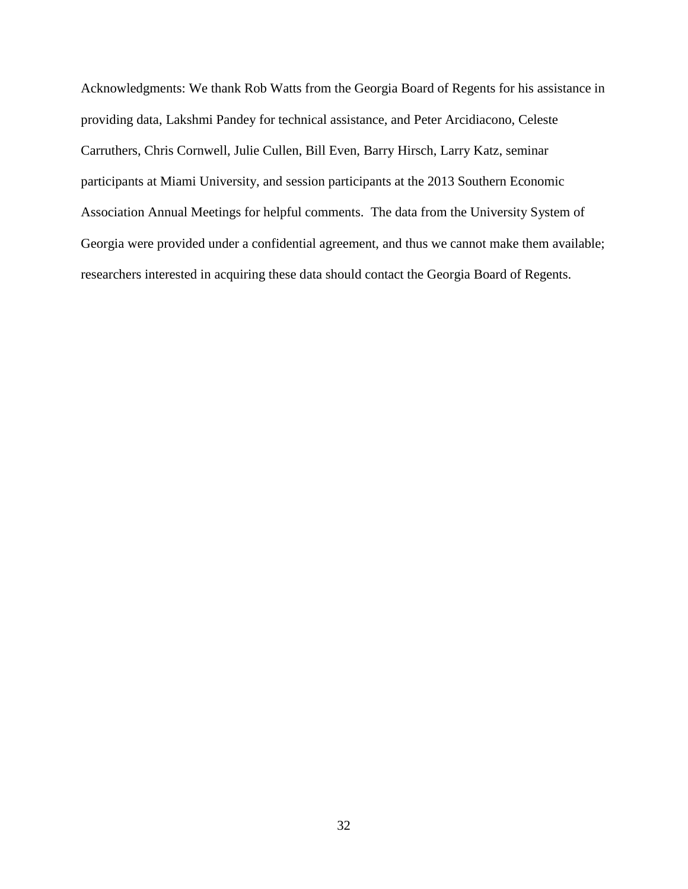Acknowledgments: We thank Rob Watts from the Georgia Board of Regents for his assistance in providing data, Lakshmi Pandey for technical assistance, and Peter Arcidiacono, Celeste Carruthers, Chris Cornwell, Julie Cullen, Bill Even, Barry Hirsch, Larry Katz, seminar participants at Miami University, and session participants at the 2013 Southern Economic Association Annual Meetings for helpful comments. The data from the University System of Georgia were provided under a confidential agreement, and thus we cannot make them available; researchers interested in acquiring these data should contact the Georgia Board of Regents.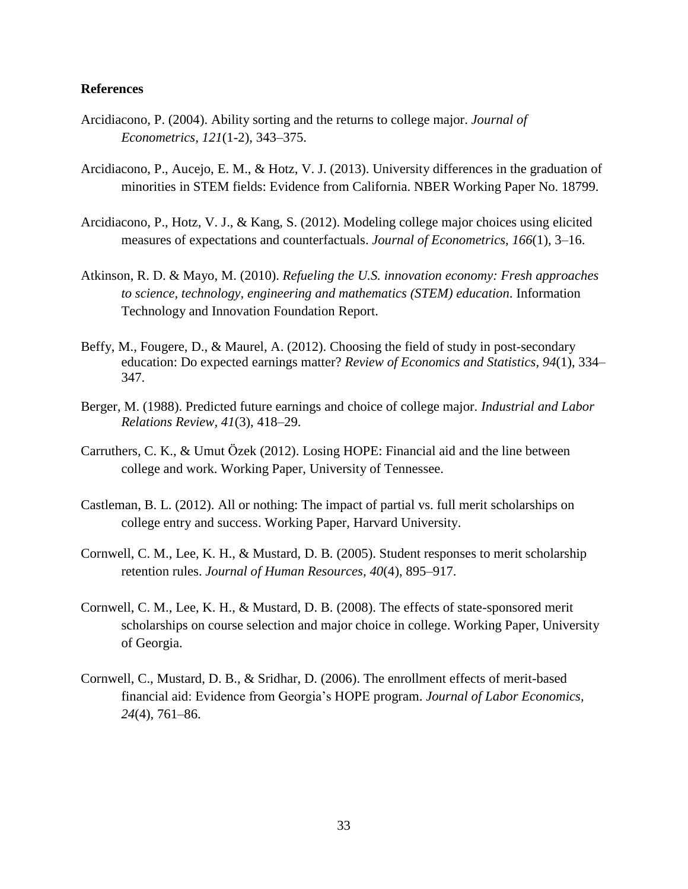#### **References**

- Arcidiacono, P. (2004). Ability sorting and the returns to college major. *Journal of Econometrics, 121*(1-2), 343–375.
- Arcidiacono, P., Aucejo, E. M., & Hotz, V. J. (2013). University differences in the graduation of minorities in STEM fields: Evidence from California. NBER Working Paper No. 18799.
- Arcidiacono, P., Hotz, V. J., & Kang, S. (2012). Modeling college major choices using elicited measures of expectations and counterfactuals. *Journal of Econometrics, 166*(1), 3–16.
- Atkinson, R. D. & Mayo, M. (2010). *Refueling the U.S. innovation economy: Fresh approaches to science, technology, engineering and mathematics (STEM) education*. Information Technology and Innovation Foundation Report.
- Beffy, M., Fougere, D., & Maurel, A. (2012). Choosing the field of study in post-secondary education: Do expected earnings matter? *Review of Economics and Statistics, 94*(1), 334– 347.
- Berger, M. (1988). Predicted future earnings and choice of college major. *Industrial and Labor Relations Review, 41*(3), 418–29.
- Carruthers, C. K., & Umut Ӧzek (2012). Losing HOPE: Financial aid and the line between college and work. Working Paper, University of Tennessee.
- Castleman, B. L. (2012). All or nothing: The impact of partial vs. full merit scholarships on college entry and success. Working Paper, Harvard University.
- Cornwell, C. M., Lee, K. H., & Mustard, D. B. (2005). Student responses to merit scholarship retention rules. *Journal of Human Resources, 40*(4), 895–917.
- Cornwell, C. M., Lee, K. H., & Mustard, D. B. (2008). The effects of state-sponsored merit scholarships on course selection and major choice in college. Working Paper, University of Georgia.
- Cornwell, C., Mustard, D. B., & Sridhar, D. (2006). The enrollment effects of merit-based financial aid: Evidence from Georgia's HOPE program. *Journal of Labor Economics, 24*(4), 761–86.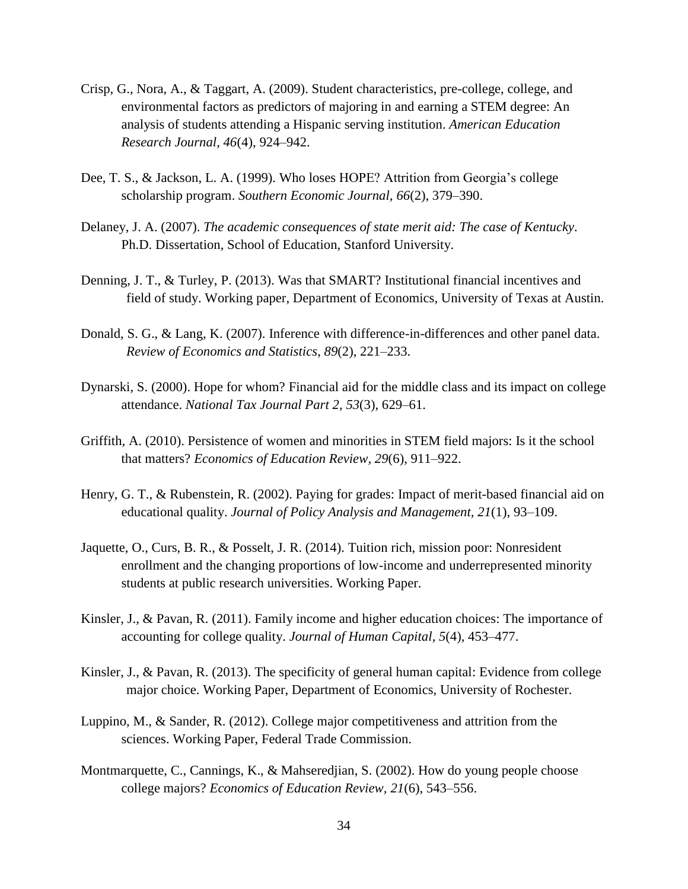- Crisp, G., Nora, A., & Taggart, A. (2009). Student characteristics, pre-college, college, and environmental factors as predictors of majoring in and earning a STEM degree: An analysis of students attending a Hispanic serving institution. *American Education Research Journal, 46*(4), 924–942.
- Dee, T. S., & Jackson, L. A. (1999). Who loses HOPE? Attrition from Georgia's college scholarship program. *Southern Economic Journal, 66*(2), 379–390.
- Delaney, J. A. (2007). *The academic consequences of state merit aid: The case of Kentucky*. Ph.D. Dissertation, School of Education, Stanford University.
- Denning, J. T., & Turley, P. (2013). Was that SMART? Institutional financial incentives and field of study. Working paper, Department of Economics, University of Texas at Austin.
- Donald, S. G., & Lang, K. (2007). Inference with difference-in-differences and other panel data. *Review of Economics and Statistics*, *89*(2), 221–233.
- Dynarski, S. (2000). Hope for whom? Financial aid for the middle class and its impact on college attendance. *National Tax Journal Part 2, 53*(3), 629–61.
- Griffith, A. (2010). Persistence of women and minorities in STEM field majors: Is it the school that matters? *Economics of Education Review, 29*(6), 911–922.
- Henry, G. T., & Rubenstein, R. (2002). Paying for grades: Impact of merit-based financial aid on educational quality. *Journal of Policy Analysis and Management, 21*(1), 93–109.
- Jaquette, O., Curs, B. R., & Posselt, J. R. (2014). Tuition rich, mission poor: Nonresident enrollment and the changing proportions of low-income and underrepresented minority students at public research universities. Working Paper.
- Kinsler, J., & Pavan, R. (2011). Family income and higher education choices: The importance of accounting for college quality. *Journal of Human Capital, 5*(4), 453–477.
- Kinsler, J., & Pavan, R. (2013). The specificity of general human capital: Evidence from college major choice. Working Paper, Department of Economics, University of Rochester.
- Luppino, M., & Sander, R. (2012). College major competitiveness and attrition from the sciences. Working Paper, Federal Trade Commission.
- Montmarquette, C., Cannings, K., & Mahseredjian, S. (2002). How do young people choose college majors? *Economics of Education Review, 21*(6), 543–556.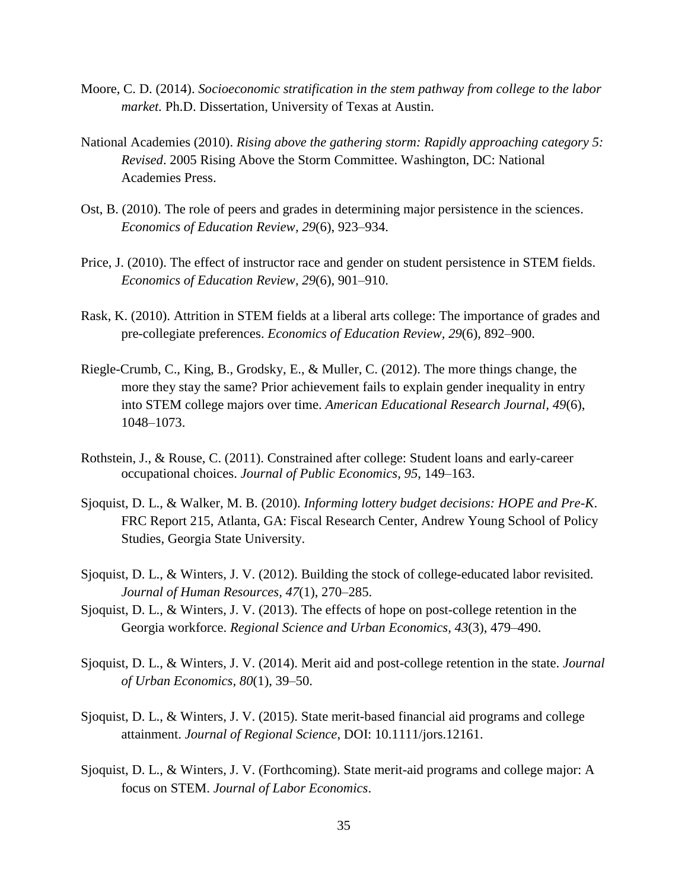- Moore, C. D. (2014). *Socioeconomic stratification in the stem pathway from college to the labor market.* Ph.D. Dissertation, University of Texas at Austin.
- National Academies (2010). *Rising above the gathering storm: Rapidly approaching category 5: Revised*. 2005 Rising Above the Storm Committee. Washington, DC: National Academies Press.
- Ost, B. (2010). The role of peers and grades in determining major persistence in the sciences. *Economics of Education Review, 29*(6), 923–934.
- Price, J. (2010). The effect of instructor race and gender on student persistence in STEM fields. *Economics of Education Review, 29*(6), 901–910.
- Rask, K. (2010). Attrition in STEM fields at a liberal arts college: The importance of grades and pre-collegiate preferences. *Economics of Education Review, 29*(6), 892–900.
- Riegle-Crumb, C., King, B., Grodsky, E., & Muller, C. (2012). The more things change, the more they stay the same? Prior achievement fails to explain gender inequality in entry into STEM college majors over time. *American Educational Research Journal, 49*(6), 1048–1073.
- Rothstein, J., & Rouse, C. (2011). Constrained after college: Student loans and early-career occupational choices. *Journal of Public Economics, 95*, 149–163.
- Sjoquist, D. L., & Walker, M. B. (2010). *Informing lottery budget decisions: HOPE and Pre-K*. FRC Report 215, Atlanta, GA: Fiscal Research Center, Andrew Young School of Policy Studies, Georgia State University.
- Sjoquist, D. L., & Winters, J. V. (2012). Building the stock of college-educated labor revisited. *Journal of Human Resources, 47*(1), 270–285.
- Sjoquist, D. L., & Winters, J. V. (2013). The effects of hope on post-college retention in the Georgia workforce. *Regional Science and Urban Economics, 43*(3), 479–490.
- Sjoquist, D. L., & Winters, J. V. (2014). Merit aid and post-college retention in the state. *Journal of Urban Economics, 80*(1), 39–50.
- Sjoquist, D. L., & Winters, J. V. (2015). State merit-based financial aid programs and college attainment. *Journal of Regional Science*, DOI: 10.1111/jors.12161.
- Sjoquist, D. L., & Winters, J. V. (Forthcoming). State merit-aid programs and college major: A focus on STEM. *Journal of Labor Economics*.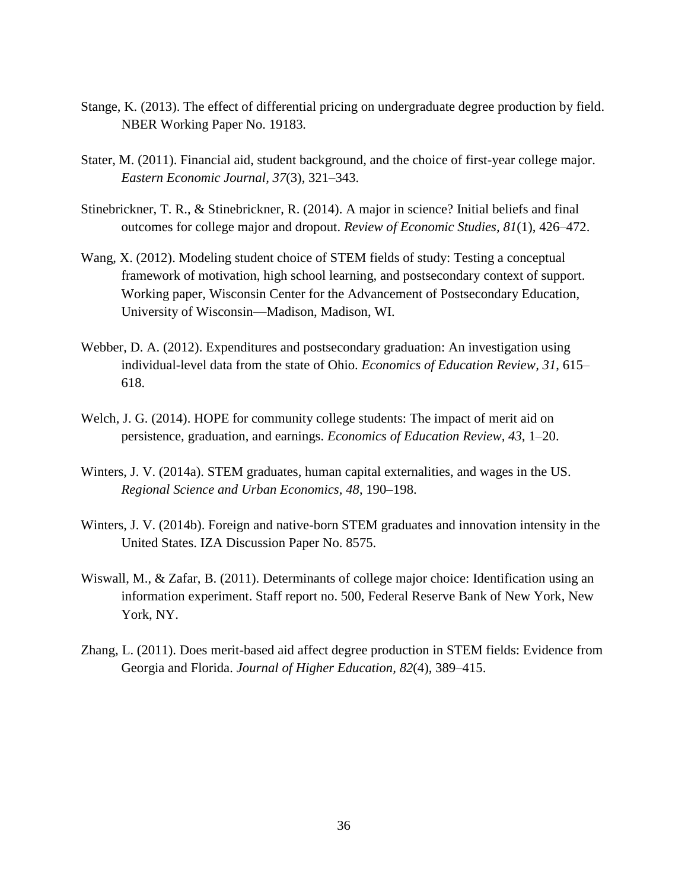- Stange, K. (2013). The effect of differential pricing on undergraduate degree production by field. NBER Working Paper No. 19183*.*
- Stater, M. (2011). Financial aid, student background, and the choice of first-year college major. *Eastern Economic Journal, 37*(3), 321–343.
- Stinebrickner, T. R., & Stinebrickner, R. (2014). A major in science? Initial beliefs and final outcomes for college major and dropout. *Review of Economic Studies, 81*(1), 426–472.
- Wang, X. (2012). Modeling student choice of STEM fields of study: Testing a conceptual framework of motivation, high school learning, and postsecondary context of support. Working paper, Wisconsin Center for the Advancement of Postsecondary Education, University of Wisconsin—Madison, Madison, WI.
- Webber, D. A. (2012). Expenditures and postsecondary graduation: An investigation using individual-level data from the state of Ohio. *Economics of Education Review, 31*, 615– 618.
- Welch, J. G. (2014). HOPE for community college students: The impact of merit aid on persistence, graduation, and earnings. *Economics of Education Review, 43*, 1–20.
- Winters, J. V. (2014a). STEM graduates, human capital externalities, and wages in the US. *Regional Science and Urban Economics, 48*, 190–198.
- Winters, J. V. (2014b). Foreign and native-born STEM graduates and innovation intensity in the United States. IZA Discussion Paper No. 8575.
- Wiswall, M., & Zafar, B. (2011). Determinants of college major choice: Identification using an information experiment. Staff report no. 500, Federal Reserve Bank of New York, New York, NY.
- Zhang, L. (2011). Does merit-based aid affect degree production in STEM fields: Evidence from Georgia and Florida. *Journal of Higher Education, 82*(4), 389–415.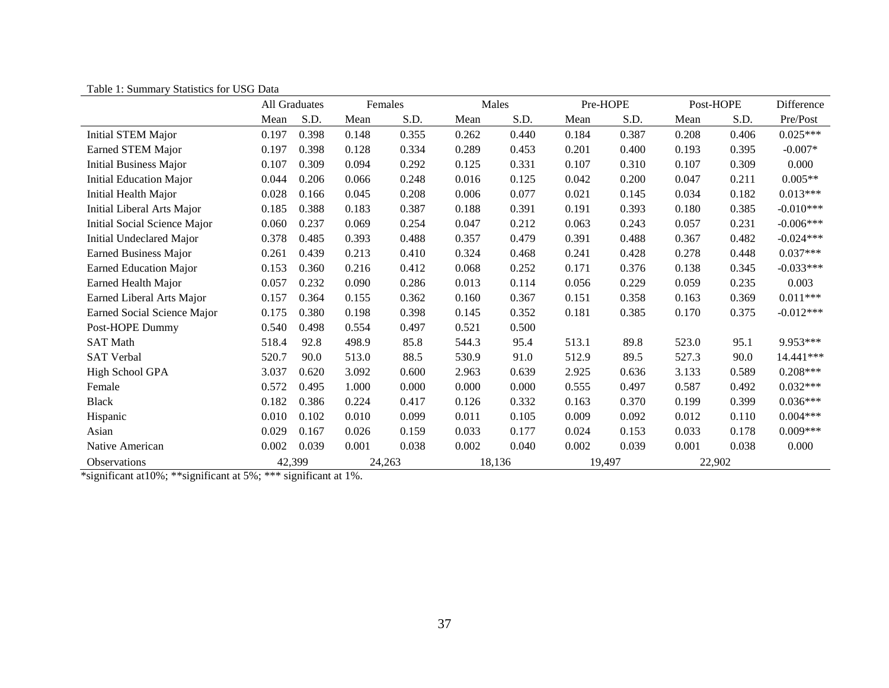| I avic 1. Sunnial y Statistics for OSO Data | All Graduates |       | Females |       | Males  |       | Pre-HOPE |       | Post-HOPE |       | Difference  |
|---------------------------------------------|---------------|-------|---------|-------|--------|-------|----------|-------|-----------|-------|-------------|
|                                             | Mean          | S.D.  | Mean    | S.D.  | Mean   | S.D.  | Mean     | S.D.  | Mean      | S.D.  | Pre/Post    |
| <b>Initial STEM Major</b>                   | 0.197         | 0.398 | 0.148   | 0.355 | 0.262  | 0.440 | 0.184    | 0.387 | 0.208     | 0.406 | $0.025***$  |
| Earned STEM Major                           | 0.197         | 0.398 | 0.128   | 0.334 | 0.289  | 0.453 | 0.201    | 0.400 | 0.193     | 0.395 | $-0.007*$   |
| <b>Initial Business Major</b>               | 0.107         | 0.309 | 0.094   | 0.292 | 0.125  | 0.331 | 0.107    | 0.310 | 0.107     | 0.309 | 0.000       |
| <b>Initial Education Major</b>              | 0.044         | 0.206 | 0.066   | 0.248 | 0.016  | 0.125 | 0.042    | 0.200 | 0.047     | 0.211 | $0.005**$   |
| Initial Health Major                        | 0.028         | 0.166 | 0.045   | 0.208 | 0.006  | 0.077 | 0.021    | 0.145 | 0.034     | 0.182 | $0.013***$  |
| Initial Liberal Arts Major                  | 0.185         | 0.388 | 0.183   | 0.387 | 0.188  | 0.391 | 0.191    | 0.393 | 0.180     | 0.385 | $-0.010***$ |
| Initial Social Science Major                | 0.060         | 0.237 | 0.069   | 0.254 | 0.047  | 0.212 | 0.063    | 0.243 | 0.057     | 0.231 | $-0.006***$ |
| Initial Undeclared Major                    | 0.378         | 0.485 | 0.393   | 0.488 | 0.357  | 0.479 | 0.391    | 0.488 | 0.367     | 0.482 | $-0.024***$ |
| <b>Earned Business Major</b>                | 0.261         | 0.439 | 0.213   | 0.410 | 0.324  | 0.468 | 0.241    | 0.428 | 0.278     | 0.448 | $0.037***$  |
| <b>Earned Education Major</b>               | 0.153         | 0.360 | 0.216   | 0.412 | 0.068  | 0.252 | 0.171    | 0.376 | 0.138     | 0.345 | $-0.033***$ |
| Earned Health Major                         | 0.057         | 0.232 | 0.090   | 0.286 | 0.013  | 0.114 | 0.056    | 0.229 | 0.059     | 0.235 | 0.003       |
| Earned Liberal Arts Major                   | 0.157         | 0.364 | 0.155   | 0.362 | 0.160  | 0.367 | 0.151    | 0.358 | 0.163     | 0.369 | $0.011***$  |
| Earned Social Science Major                 | 0.175         | 0.380 | 0.198   | 0.398 | 0.145  | 0.352 | 0.181    | 0.385 | 0.170     | 0.375 | $-0.012***$ |
| Post-HOPE Dummy                             | 0.540         | 0.498 | 0.554   | 0.497 | 0.521  | 0.500 |          |       |           |       |             |
| <b>SAT Math</b>                             | 518.4         | 92.8  | 498.9   | 85.8  | 544.3  | 95.4  | 513.1    | 89.8  | 523.0     | 95.1  | 9.953***    |
| <b>SAT Verbal</b>                           | 520.7         | 90.0  | 513.0   | 88.5  | 530.9  | 91.0  | 512.9    | 89.5  | 527.3     | 90.0  | 14.441***   |
| High School GPA                             | 3.037         | 0.620 | 3.092   | 0.600 | 2.963  | 0.639 | 2.925    | 0.636 | 3.133     | 0.589 | $0.208***$  |
| Female                                      | 0.572         | 0.495 | 1.000   | 0.000 | 0.000  | 0.000 | 0.555    | 0.497 | 0.587     | 0.492 | $0.032***$  |
| <b>Black</b>                                | 0.182         | 0.386 | 0.224   | 0.417 | 0.126  | 0.332 | 0.163    | 0.370 | 0.199     | 0.399 | $0.036***$  |
| Hispanic                                    | 0.010         | 0.102 | 0.010   | 0.099 | 0.011  | 0.105 | 0.009    | 0.092 | 0.012     | 0.110 | $0.004***$  |
| Asian                                       | 0.029         | 0.167 | 0.026   | 0.159 | 0.033  | 0.177 | 0.024    | 0.153 | 0.033     | 0.178 | $0.009***$  |
| Native American                             | 0.002         | 0.039 | 0.001   | 0.038 | 0.002  | 0.040 | 0.002    | 0.039 | 0.001     | 0.038 | 0.000       |
| Observations                                | 42,399        |       | 24,263  |       | 18,136 |       | 19,497   |       | 22,902    |       |             |

Table 1: Summary Statistics for USG Data

\*significant at10%; \*\*significant at 5%; \*\*\* significant at 1%.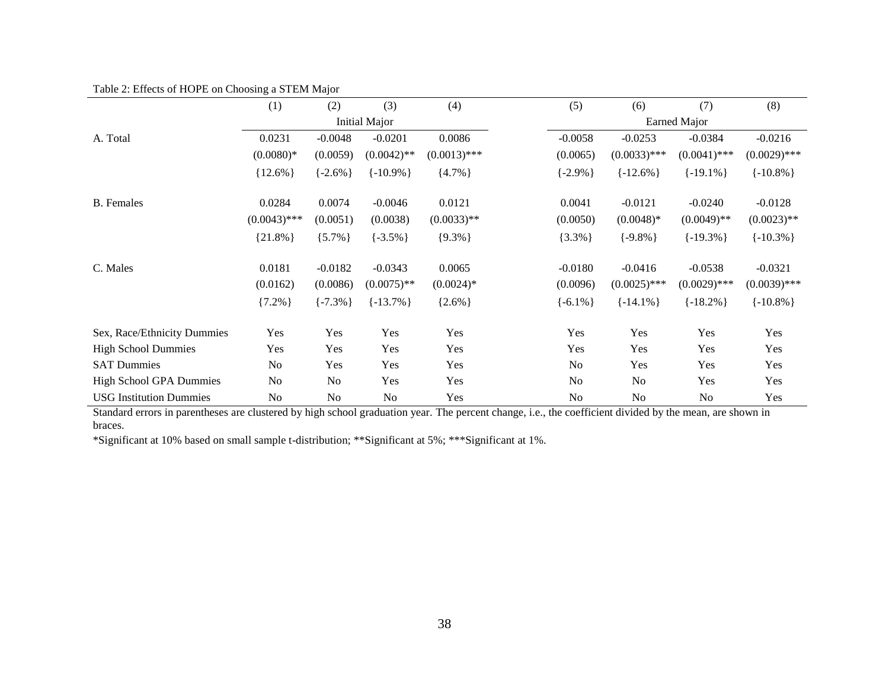Table 2: Effects of HOPE on Choosing a STEM Major

|                                | (1)            | (2)            | (3)            | (4)            | (5)           | (6)            | (7)            | (8)            |
|--------------------------------|----------------|----------------|----------------|----------------|---------------|----------------|----------------|----------------|
|                                |                |                | Initial Major  |                |               |                | Earned Major   |                |
| A. Total                       | 0.0231         | $-0.0048$      | $-0.0201$      | 0.0086         | $-0.0058$     | $-0.0253$      | $-0.0384$      | $-0.0216$      |
|                                | $(0.0080)*$    | (0.0059)       | $(0.0042)$ **  | $(0.0013)$ *** | (0.0065)      | $(0.0033)$ *** | $(0.0041)$ *** | $(0.0029)$ *** |
|                                | ${12.6\%}$     | $\{-2.6\% \}$  | $\{-10.9\% \}$ | ${4.7\%}$      | $\{-2.9\% \}$ | $\{-12.6\% \}$ | $\{-19.1\% \}$ | $\{-10.8\% \}$ |
| <b>B.</b> Females              | 0.0284         | 0.0074         | $-0.0046$      | 0.0121         | 0.0041        | $-0.0121$      | $-0.0240$      | $-0.0128$      |
|                                | $(0.0043)$ *** | (0.0051)       | (0.0038)       | $(0.0033)$ **  | (0.0050)      | $(0.0048)*$    | $(0.0049)$ **  | $(0.0023)$ **  |
|                                | ${21.8\%}$     | ${5.7\%}$      | $\{-3.5\% \}$  | ${9.3\%}$      | ${3.3\%}$     | $\{-9.8\% \}$  | $\{-19.3\% \}$ | $\{-10.3\% \}$ |
| C. Males                       | 0.0181         | $-0.0182$      | $-0.0343$      | 0.0065         | $-0.0180$     | $-0.0416$      | $-0.0538$      | $-0.0321$      |
|                                | (0.0162)       | (0.0086)       | $(0.0075)$ **  | $(0.0024)*$    | (0.0096)      | $(0.0025)$ *** | $(0.0029)$ *** | $(0.0039)$ *** |
|                                | ${7.2\%}$      | $\{-7.3\% \}$  | $\{-13.7\% \}$ | ${2.6\%}$      | $\{-6.1\% \}$ | $\{-14.1\% \}$ | $\{-18.2\% \}$ | $\{-10.8\% \}$ |
| Sex, Race/Ethnicity Dummies    | Yes            | Yes            | Yes            | Yes            | Yes           | Yes            | Yes            | Yes            |
| <b>High School Dummies</b>     | Yes            | Yes            | Yes            | Yes            | Yes           | Yes            | Yes            | Yes            |
| <b>SAT Dummies</b>             | N <sub>o</sub> | Yes            | Yes            | Yes            | No            | Yes            | Yes            | Yes            |
| <b>High School GPA Dummies</b> | No             | N <sub>o</sub> | Yes            | Yes            | No            | No             | Yes            | Yes            |
| <b>USG Institution Dummies</b> | No             | N <sub>o</sub> | No             | Yes            | <b>No</b>     | No             | No             | Yes            |

Standard errors in parentheses are clustered by high school graduation year. The percent change, i.e., the coefficient divided by the mean, are shown in braces.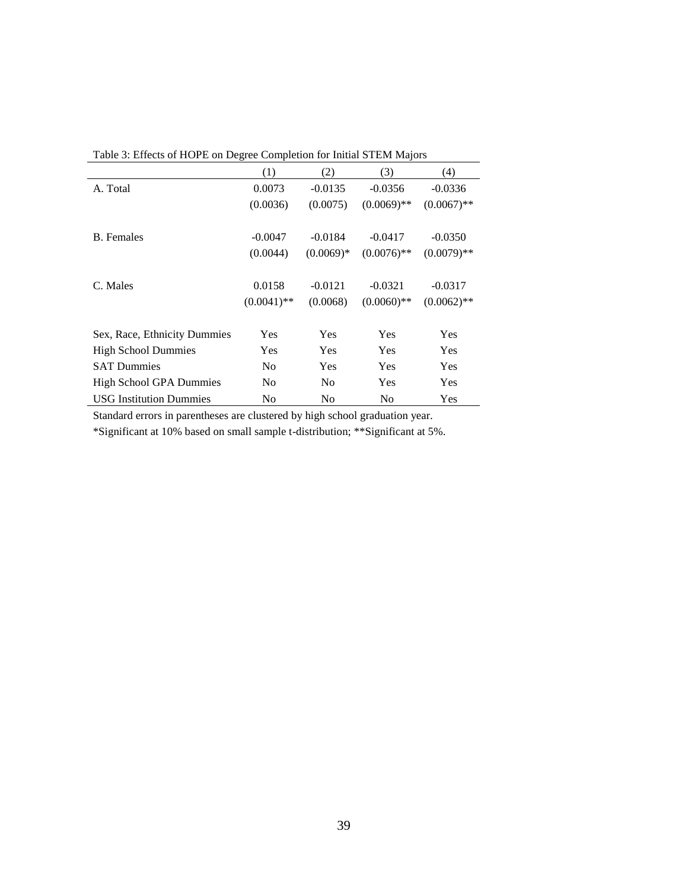|                                | (1)            | (2)            | (3)           | (4)           |
|--------------------------------|----------------|----------------|---------------|---------------|
| A. Total                       | 0.0073         | $-0.0135$      | $-0.0356$     | $-0.0336$     |
|                                | (0.0036)       | (0.0075)       | $(0.0069)$ ** | $(0.0067)$ ** |
| <b>B.</b> Females              | $-0.0047$      | $-0.0184$      | $-0.0417$     | $-0.0350$     |
|                                | (0.0044)       | $(0.0069)*$    | $(0.0076)$ ** | $(0.0079)$ ** |
| C. Males                       | 0.0158         | $-0.0121$      | $-0.0321$     | $-0.0317$     |
|                                | $(0.0041)$ **  | (0.0068)       | $(0.0060)$ ** | $(0.0062)$ ** |
| Sex, Race, Ethnicity Dummies   | Yes            | Yes            | Yes           | Yes           |
| <b>High School Dummies</b>     | Yes            | Yes            | Yes           | Yes           |
| <b>SAT Dummies</b>             | No             | Yes            | Yes           | Yes           |
| <b>High School GPA Dummies</b> | N <sub>0</sub> | N <sub>0</sub> | Yes           | Yes           |
| <b>USG Institution Dummies</b> | No             | No             | No            | Yes           |

Table 3: Effects of HOPE on Degree Completion for Initial STEM Majors

Standard errors in parentheses are clustered by high school graduation year.

\*Significant at 10% based on small sample t-distribution; \*\*Significant at 5%.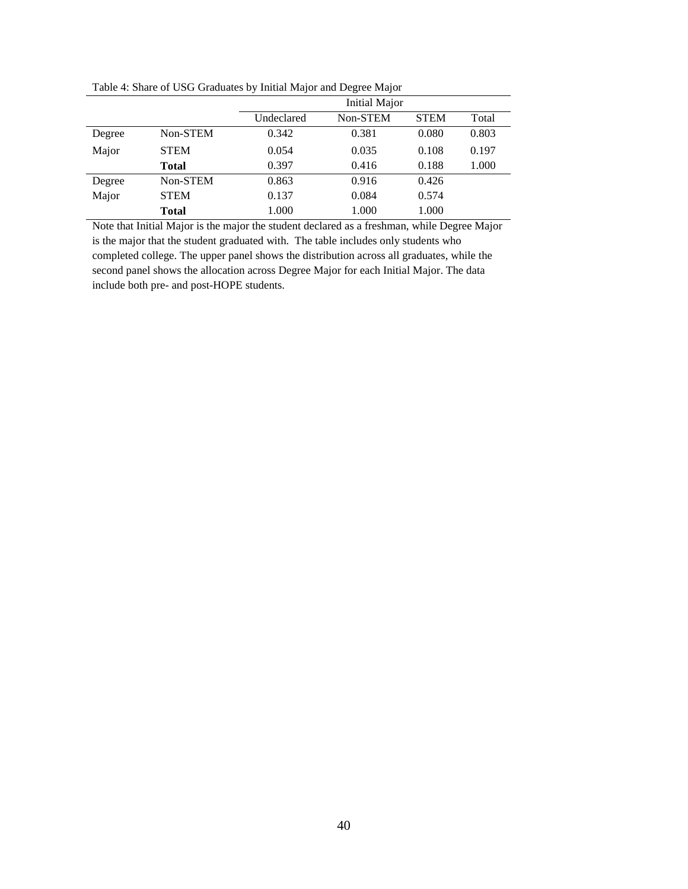|        |              |            | <b>Initial Major</b> |             |       |
|--------|--------------|------------|----------------------|-------------|-------|
|        |              | Undeclared | Non-STEM             | <b>STEM</b> | Total |
| Degree | Non-STEM     | 0.342      | 0.381                | 0.080       | 0.803 |
| Major  | <b>STEM</b>  | 0.054      | 0.035                | 0.108       | 0.197 |
|        | <b>Total</b> | 0.397      | 0.416                | 0.188       | 1.000 |
| Degree | Non-STEM     | 0.863      | 0.916                | 0.426       |       |
| Major  | <b>STEM</b>  | 0.137      | 0.084                | 0.574       |       |
|        | <b>Total</b> | 1.000      | 1.000                | 1.000       |       |

Table 4: Share of USG Graduates by Initial Major and Degree Major

Note that Initial Major is the major the student declared as a freshman, while Degree Major is the major that the student graduated with. The table includes only students who completed college. The upper panel shows the distribution across all graduates, while the second panel shows the allocation across Degree Major for each Initial Major. The data include both pre- and post-HOPE students.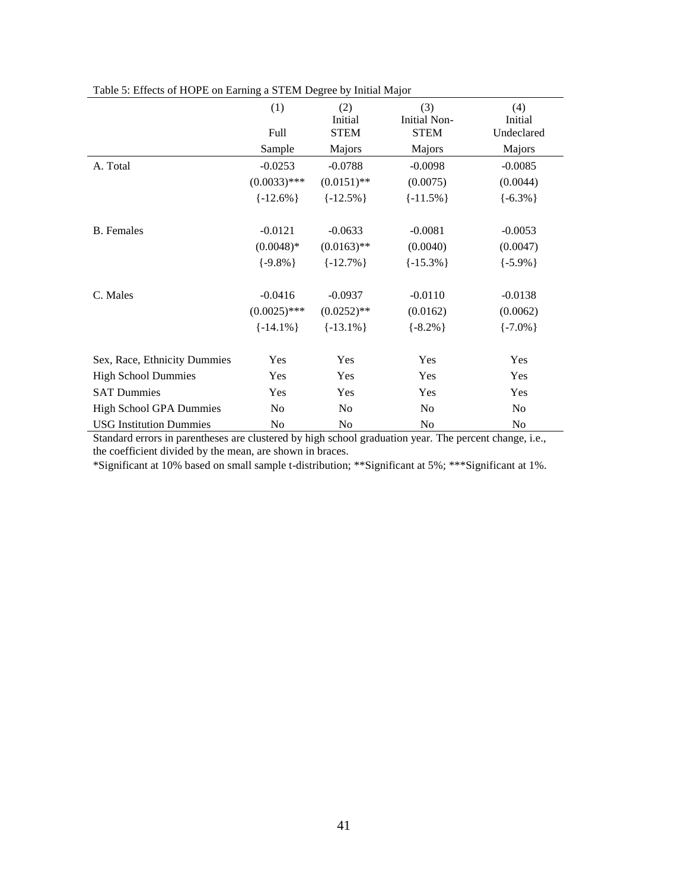|                                | (1)<br>Full    | (2)<br>Initial<br><b>STEM</b> | (3)<br><b>Initial Non-</b><br><b>STEM</b> | (4)<br>Initial<br>Undeclared |
|--------------------------------|----------------|-------------------------------|-------------------------------------------|------------------------------|
|                                | Sample         | Majors                        | Majors                                    | Majors                       |
| A. Total                       | $-0.0253$      | $-0.0788$                     | $-0.0098$                                 | $-0.0085$                    |
|                                | $(0.0033)$ *** | $(0.0151)$ **                 | (0.0075)                                  | (0.0044)                     |
|                                | $\{-12.6\% \}$ | $\{-12.5\% \}$                | $\{-11.5\% \}$                            | $\{-6.3\% \}$                |
| <b>B.</b> Females              | $-0.0121$      | $-0.0633$                     | $-0.0081$                                 | $-0.0053$                    |
|                                | $(0.0048)*$    | $(0.0163)$ **                 | (0.0040)                                  | (0.0047)                     |
|                                | $\{-9.8\% \}$  | $\{-12.7\% \}$                | $\{-15.3\% \}$                            | $\{-5.9\% \}$                |
| C. Males                       | $-0.0416$      | $-0.0937$                     | $-0.0110$                                 | $-0.0138$                    |
|                                | $(0.0025)$ *** | $(0.0252)$ **                 | (0.0162)                                  | (0.0062)                     |
|                                | $\{-14.1\% \}$ | $\{-13.1\% \}$                | $\{-8.2\% \}$                             | $\{-7.0\% \}$                |
| Sex, Race, Ethnicity Dummies   | Yes            | Yes                           | Yes                                       | Yes                          |
| <b>High School Dummies</b>     | Yes            | Yes                           | Yes                                       | Yes                          |
| <b>SAT Dummies</b>             | Yes            | Yes                           | Yes                                       | Yes                          |
| <b>High School GPA Dummies</b> | N <sub>0</sub> | N <sub>o</sub>                | N <sub>0</sub>                            | N <sub>o</sub>               |
| <b>USG Institution Dummies</b> | N <sub>o</sub> | No                            | N <sub>0</sub>                            | N <sub>o</sub>               |

Table 5: Effects of HOPE on Earning a STEM Degree by Initial Major

Standard errors in parentheses are clustered by high school graduation year. The percent change, i.e., the coefficient divided by the mean, are shown in braces.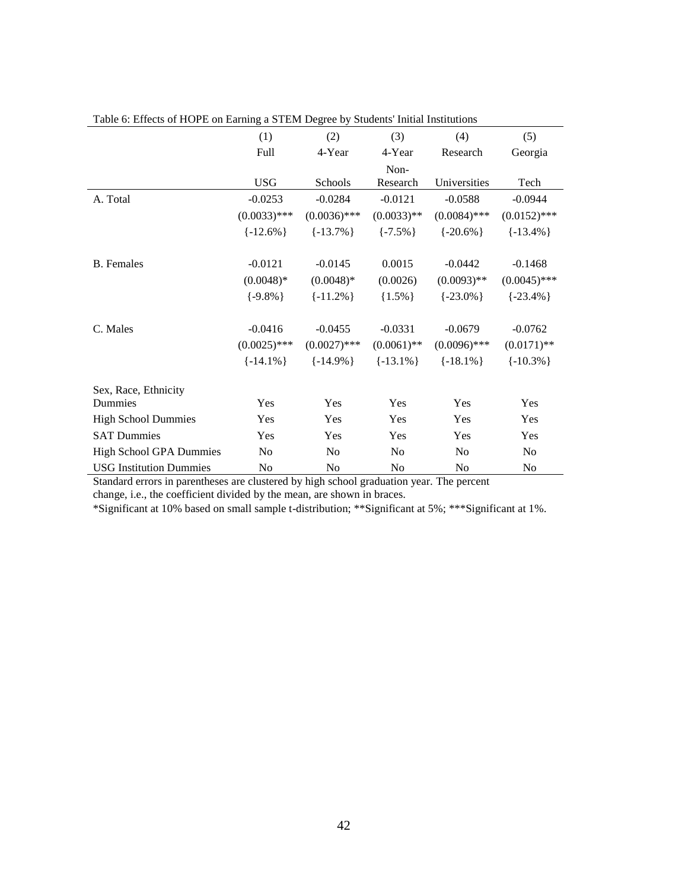|                                | (1)            | (2)            | (3)            | (4)            | (5)            |
|--------------------------------|----------------|----------------|----------------|----------------|----------------|
|                                | Full           | 4-Year         | 4-Year         | Research       | Georgia        |
|                                |                |                | Non-           |                |                |
|                                | <b>USG</b>     | Schools        | Research       | Universities   | Tech           |
| A. Total                       | $-0.0253$      | $-0.0284$      | $-0.0121$      | $-0.0588$      | $-0.0944$      |
|                                | $(0.0033)$ *** | $(0.0036)$ *** | $(0.0033)$ **  | $(0.0084)$ *** | $(0.0152)$ *** |
|                                | $\{-12.6\% \}$ | $\{-13.7\% \}$ | $\{-7.5\% \}$  | $\{-20.6\% \}$ | $\{-13.4\% \}$ |
|                                |                |                |                |                |                |
| <b>B.</b> Females              | $-0.0121$      | $-0.0145$      | 0.0015         | $-0.0442$      | $-0.1468$      |
|                                | $(0.0048)*$    | $(0.0048)*$    | (0.0026)       | $(0.0093)$ **  | $(0.0045)$ *** |
|                                | $\{-9.8\% \}$  | $\{-11.2\% \}$ | ${1.5\%}$      | $\{-23.0\% \}$ | $\{-23.4\% \}$ |
| C. Males                       | $-0.0416$      | $-0.0455$      | $-0.0331$      | $-0.0679$      | $-0.0762$      |
|                                | $(0.0025)$ *** | $(0.0027)$ *** | $(0.0061)$ **  | $(0.0096)$ *** | $(0.0171)$ **  |
|                                | $\{-14.1\% \}$ | $\{-14.9\% \}$ | $\{-13.1\% \}$ | $\{-18.1\% \}$ | $\{-10.3\% \}$ |
| Sex, Race, Ethnicity           |                |                |                |                |                |
| Dummies                        | Yes            | <b>Yes</b>     | Yes            | Yes            | Yes            |
| <b>High School Dummies</b>     | Yes            | Yes            | Yes            | Yes            | Yes            |
| <b>SAT Dummies</b>             | Yes            | Yes            | Yes            | Yes            | Yes            |
| <b>High School GPA Dummies</b> | No             | N <sub>0</sub> | No             | No             | N <sub>o</sub> |
| <b>USG</b> Institution Dummies | No             | No             | N <sub>o</sub> | No             | No             |

| Table 6: Effects of HOPE on Earning a STEM Degree by Students' Initial Institutions |
|-------------------------------------------------------------------------------------|
|-------------------------------------------------------------------------------------|

Standard errors in parentheses are clustered by high school graduation year. The percent change, i.e., the coefficient divided by the mean, are shown in braces.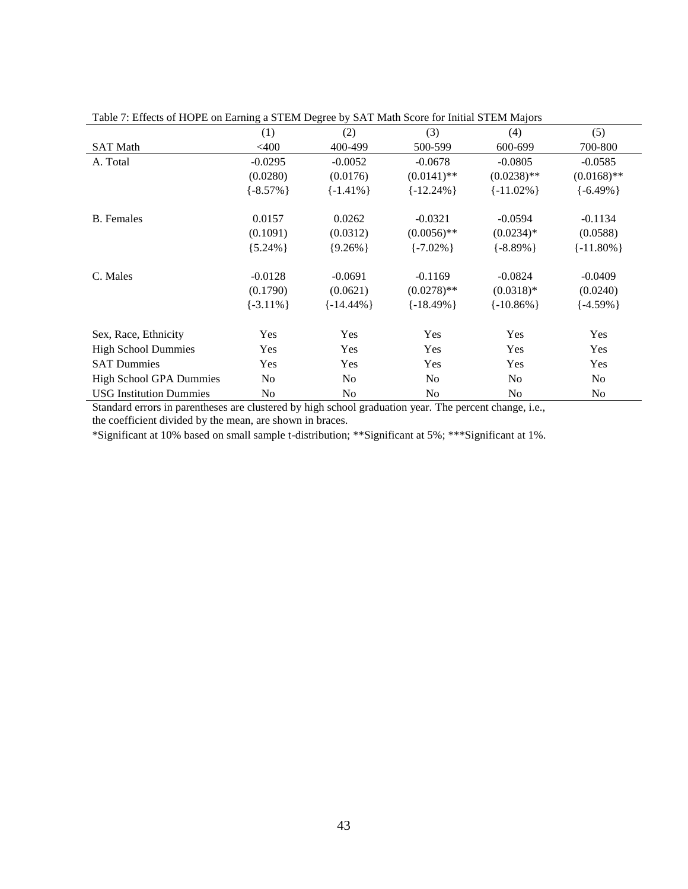| (1)            | (2)                  | (3)             | (4)                     | (5)                            |                                |
|----------------|----------------------|-----------------|-------------------------|--------------------------------|--------------------------------|
| $<$ 400        | 400-499              | 500-599         | 600-699                 | 700-800                        |                                |
| $-0.0295$      | $-0.0052$            | $-0.0678$       | $-0.0805$               | $-0.0585$                      |                                |
| (0.0280)       | (0.0176)             | $(0.0141)$ **   | $(0.0238)$ **           | $(0.0168)$ **                  |                                |
| $\{-8.57\% \}$ | $\{-1.41\% \}$       | $\{-12.24\% \}$ | $\{-11.02\% \}$         | $\{-6.49\% \}$                 |                                |
|                |                      |                 |                         |                                |                                |
| (0.1091)       | (0.0312)             | $(0.0056)$ **   | $(0.0234)*$             | (0.0588)                       |                                |
| ${5.24\%}$     | ${9.26\%}$           | $\{-7.02\% \}$  | $\{-8.89\% \}$          | $\{-11.80\% \}$                |                                |
| $-0.0128$      | $-0.0691$            | $-0.1169$       | $-0.0824$               | $-0.0409$                      |                                |
| (0.1790)       | (0.0621)             | $(0.0278)$ **   | $(0.0318)*$             | (0.0240)                       |                                |
| $\{-3.11\% \}$ | $\{-14.44\% \}$      | $\{-18.49\% \}$ | $\{-10.86\% \}$         | $\{-4.59\% \}$                 |                                |
|                | Yes                  |                 |                         |                                |                                |
| Yes            | Yes                  | Yes             |                         |                                |                                |
|                |                      |                 |                         |                                |                                |
| N <sub>0</sub> | N <sub>0</sub>       | N <sub>0</sub>  | N <sub>o</sub>          | N <sub>o</sub>                 |                                |
| No             | No                   | No              | N <sub>o</sub>          | N <sub>o</sub>                 |                                |
|                | 0.0157<br>Yes<br>Yes | 0.0262<br>Yes   | $-0.0321$<br>Yes<br>Yes | $-0.0594$<br>Yes<br>Yes<br>Yes | $-0.1134$<br>Yes<br>Yes<br>Yes |

Table 7: Effects of HOPE on Earning a STEM Degree by SAT Math Score for Initial STEM Majors

Standard errors in parentheses are clustered by high school graduation year. The percent change, i.e., the coefficient divided by the mean, are shown in braces.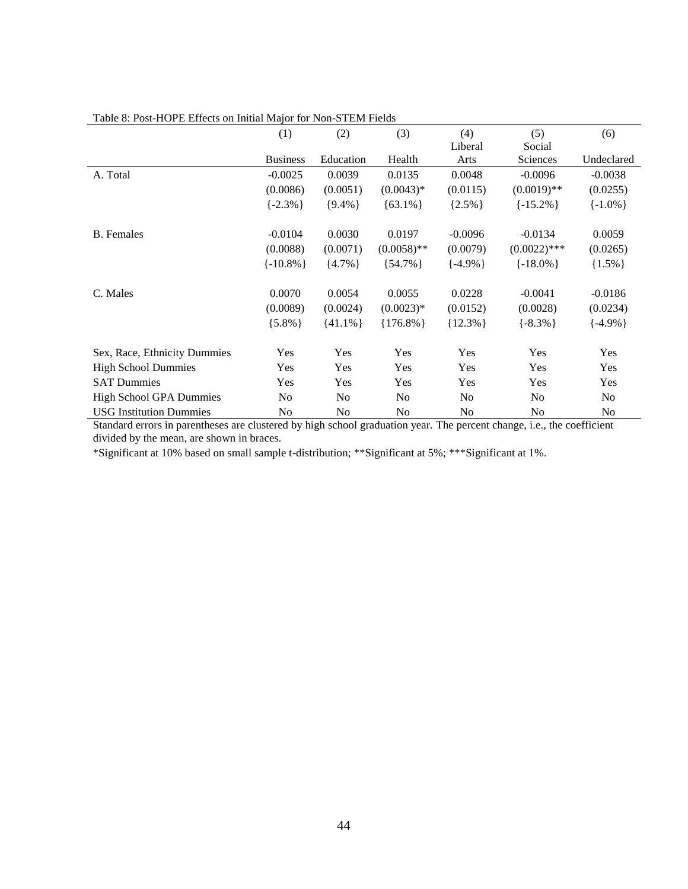|                                | (1)             | (2)            | (3)            | (4)            | (5)            | (6)            |
|--------------------------------|-----------------|----------------|----------------|----------------|----------------|----------------|
|                                |                 |                |                | Liberal        | Social         |                |
|                                | <b>Business</b> | Education      | Health         | Arts           | Sciences       | Undeclared     |
| A. Total                       | $-0.0025$       | 0.0039         | 0.0135         | 0.0048         | $-0.0096$      | $-0.0038$      |
|                                | (0.0086)        | (0.0051)       | $(0.0043)*$    | (0.0115)       | $(0.0019)$ **  | (0.0255)       |
|                                | $\{-2.3\% \}$   | ${9.4\%}$      | ${63.1\%}$     | ${2.5\%}$      | $\{-15.2\% \}$ | $\{-1.0\% \}$  |
| <b>B.</b> Females              | $-0.0104$       | 0.0030         | 0.0197         | $-0.0096$      | $-0.0134$      | 0.0059         |
|                                | (0.0088)        | (0.0071)       | $(0.0058)$ **  | (0.0079)       | $(0.0022)$ *** | (0.0265)       |
|                                | $\{-10.8\% \}$  | ${4.7\%}$      | ${54.7\%}$     | $\{-4.9\% \}$  | $\{-18.0\% \}$ | ${1.5\%}$      |
| C. Males                       | 0.0070          | 0.0054         | 0.0055         | 0.0228         | $-0.0041$      | $-0.0186$      |
|                                | (0.0089)        | (0.0024)       | $(0.0023)*$    | (0.0152)       | (0.0028)       | (0.0234)       |
|                                | ${5.8\%}$       | $\{41.1\% \}$  | ${176.8\%}$    | ${12.3\%}$     | $\{-8.3\% \}$  | $\{-4.9\% \}$  |
| Sex, Race, Ethnicity Dummies   | Yes             | Yes            | Yes            | Yes            | Yes            | Yes            |
| <b>High School Dummies</b>     | Yes             | Yes            | <b>Yes</b>     | Yes            | <b>Yes</b>     | Yes            |
| <b>SAT Dummies</b>             | <b>Yes</b>      | Yes            | <b>Yes</b>     | <b>Yes</b>     | <b>Yes</b>     | Yes            |
| <b>High School GPA Dummies</b> | No              | N <sub>0</sub> | N <sub>0</sub> | N <sub>0</sub> | No             | N <sub>0</sub> |
| <b>USG Institution Dummies</b> | No              | No             | N <sub>0</sub> | No             | No             | N <sub>o</sub> |

#### Table 8: Post-HOPE Effects on Initial Major for Non-STEM Fields

Standard errors in parentheses are clustered by high school graduation year. The percent change, i.e., the coefficient divided by the mean, are shown in braces.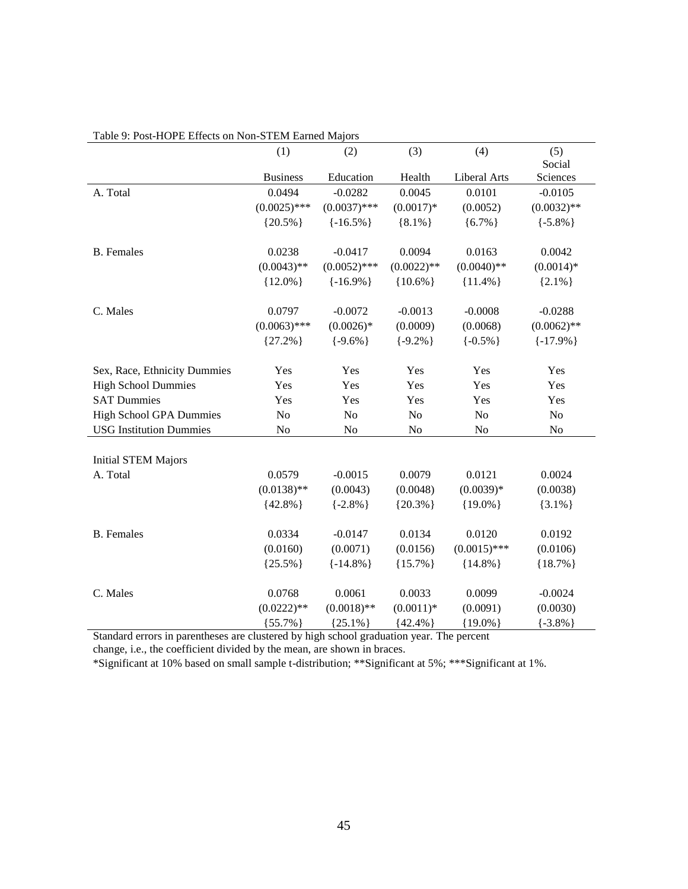|                                | (1)             | (2)            | (3)           | (4)                 | (5)            |
|--------------------------------|-----------------|----------------|---------------|---------------------|----------------|
|                                |                 |                |               |                     | Social         |
|                                | <b>Business</b> | Education      | Health        | <b>Liberal Arts</b> | Sciences       |
| A. Total                       | 0.0494          | $-0.0282$      | 0.0045        | 0.0101              | $-0.0105$      |
|                                | $(0.0025)$ ***  | $(0.0037)$ *** | $(0.0017)*$   | (0.0052)            | $(0.0032)$ **  |
|                                | ${20.5\%}$      | $\{-16.5\% \}$ | ${8.1\%}$     | ${6.7\%}$           | $\{-5.8\% \}$  |
| <b>B.</b> Females              | 0.0238          | $-0.0417$      | 0.0094        | 0.0163              | 0.0042         |
|                                | $(0.0043)$ **   | $(0.0052)$ *** | $(0.0022)$ ** | $(0.0040)$ **       | $(0.0014)*$    |
|                                | ${12.0\%}$      | $\{-16.9\% \}$ | ${10.6\%}$    | ${11.4\%}$          | ${2.1\%}$      |
| C. Males                       | 0.0797          | $-0.0072$      | $-0.0013$     | $-0.0008$           | $-0.0288$      |
|                                | $(0.0063)$ ***  | $(0.0026)*$    | (0.0009)      | (0.0068)            | $(0.0062)$ **  |
|                                | ${27.2\%}$      | $\{-9.6\% \}$  | $\{-9.2\% \}$ | $\{-0.5\% \}$       | $\{-17.9\% \}$ |
| Sex, Race, Ethnicity Dummies   | Yes             | Yes            | Yes           | Yes                 | Yes            |
| <b>High School Dummies</b>     | Yes             | Yes            | Yes           | Yes                 | Yes            |
| <b>SAT Dummies</b>             | Yes             | Yes            | Yes           | Yes                 | Yes            |
| <b>High School GPA Dummies</b> | No              | N <sub>o</sub> | No            | No                  | No             |
| <b>USG Institution Dummies</b> | No              | N <sub>0</sub> | No            | No                  | No             |
| <b>Initial STEM Majors</b>     |                 |                |               |                     |                |
| A. Total                       | 0.0579          | $-0.0015$      | 0.0079        | 0.0121              | 0.0024         |
|                                | $(0.0138)$ **   | (0.0043)       | (0.0048)      | $(0.0039)*$         | (0.0038)       |
|                                | ${42.8\%}$      | $\{-2.8\% \}$  | ${20.3\%}$    | ${19.0\%}$          | ${3.1\%}$      |
| <b>B.</b> Females              | 0.0334          | $-0.0147$      | 0.0134        | 0.0120              | 0.0192         |
|                                | (0.0160)        | (0.0071)       | (0.0156)      | $(0.0015)$ ***      | (0.0106)       |
|                                | ${25.5\%}$      | $\{-14.8\% \}$ | ${15.7\%}$    | ${14.8\%}$          | ${18.7\%}$     |
| C. Males                       | 0.0768          | 0.0061         | 0.0033        | 0.0099              | $-0.0024$      |
|                                | $(0.0222)**$    | $(0.0018)$ **  | $(0.0011)*$   | (0.0091)            | (0.0030)       |
|                                | ${55.7\%}$      | ${25.1\%}$     | ${42.4\%}$    | ${19.0\%}$          | $\{-3.8\% \}$  |

### Table 9: Post-HOPE Effects on Non-STEM Earned Majors

Standard errors in parentheses are clustered by high school graduation year. The percent

change, i.e., the coefficient divided by the mean, are shown in braces.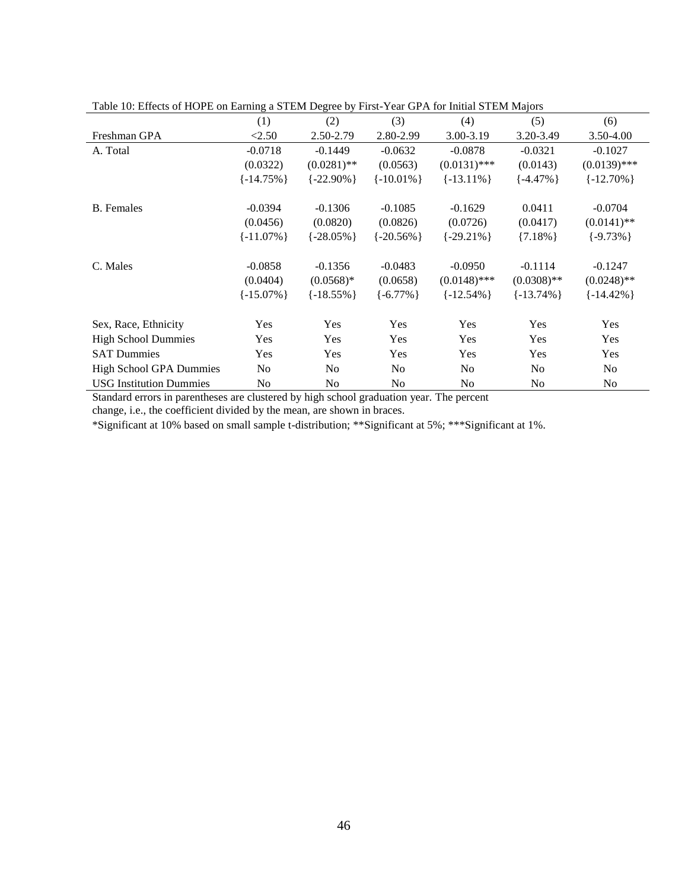|                                | (1)             | (2)             | (3)             | (4)             | (5)             | (6)             |
|--------------------------------|-----------------|-----------------|-----------------|-----------------|-----------------|-----------------|
| Freshman GPA                   | < 2.50          | 2.50-2.79       | 2.80-2.99       | 3.00-3.19       | 3.20-3.49       | 3.50-4.00       |
| A. Total                       | $-0.0718$       | $-0.1449$       | $-0.0632$       | $-0.0878$       | $-0.0321$       | $-0.1027$       |
|                                | (0.0322)        | $(0.0281)$ **   | (0.0563)        | $(0.0131)$ ***  | (0.0143)        | $(0.0139)$ ***  |
|                                | $\{-14.75\% \}$ | $\{-22.90\% \}$ | $\{-10.01\% \}$ | $\{-13.11\% \}$ | $\{-4.47\% \}$  | $\{-12.70\% \}$ |
| <b>B.</b> Females              | $-0.0394$       | $-0.1306$       | $-0.1085$       | $-0.1629$       | 0.0411          | $-0.0704$       |
|                                | (0.0456)        | (0.0820)        | (0.0826)        | (0.0726)        | (0.0417)        | $(0.0141)$ **   |
|                                |                 |                 |                 |                 |                 |                 |
|                                | $\{-11.07\% \}$ | $\{-28.05\% \}$ | $\{-20.56\% \}$ | $\{-29.21\% \}$ | ${7.18\%}$      | $\{-9.73\% \}$  |
| C. Males                       | $-0.0858$       | $-0.1356$       | $-0.0483$       | $-0.0950$       | $-0.1114$       | $-0.1247$       |
|                                | (0.0404)        | $(0.0568)*$     | (0.0658)        | $(0.0148)$ ***  | $(0.0308)$ **   | $(0.0248)$ **   |
|                                | $\{-15.07\% \}$ | $\{-18.55\% \}$ | $\{-6.77\% \}$  | $\{-12.54\% \}$ | $\{-13.74\% \}$ | $\{-14.42\% \}$ |
| Sex, Race, Ethnicity           | Yes             | Yes             | Yes             | Yes             | Yes             | Yes             |
| <b>High School Dummies</b>     | Yes             | Yes             | Yes             | Yes             | Yes             | Yes             |
| <b>SAT Dummies</b>             | Yes             | Yes             | Yes             | <b>Yes</b>      | Yes             | Yes             |
|                                |                 |                 |                 |                 |                 |                 |
| <b>High School GPA Dummies</b> | N <sub>o</sub>  | No              | No              | N <sub>0</sub>  | No              | No.             |
| <b>USG Institution Dummies</b> | No.             | No              | No              | No              | No              | No              |

Table 10: Effects of HOPE on Earning a STEM Degree by First-Year GPA for Initial STEM Majors

Standard errors in parentheses are clustered by high school graduation year. The percent

change, i.e., the coefficient divided by the mean, are shown in braces.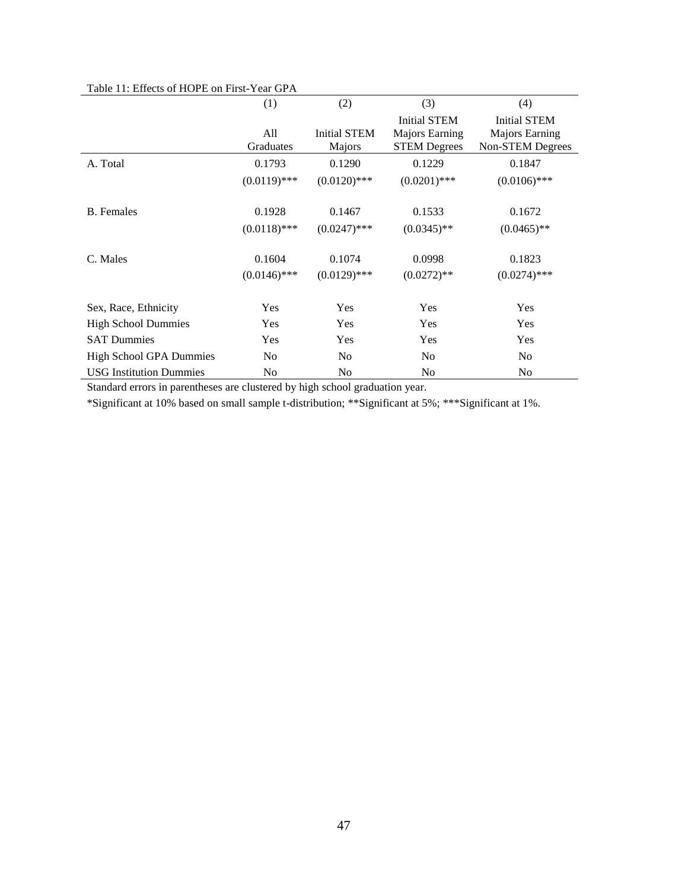|                                | (1)              | (2)                           | (3)                                                                 | (4)                                                       |
|--------------------------------|------------------|-------------------------------|---------------------------------------------------------------------|-----------------------------------------------------------|
|                                | All<br>Graduates | <b>Initial STEM</b><br>Majors | <b>Initial STEM</b><br><b>Majors Earning</b><br><b>STEM Degrees</b> | <b>Initial STEM</b><br>Majors Earning<br>Non-STEM Degrees |
| A. Total                       | 0.1793           | 0.1290                        | 0.1229                                                              | 0.1847                                                    |
|                                | $(0.0119)$ ***   | $(0.0120)$ ***                | $(0.0201)$ ***                                                      | $(0.0106)$ ***                                            |
| <b>B.</b> Females              | 0.1928           | 0.1467                        | 0.1533                                                              | 0.1672                                                    |
|                                | $(0.0118)$ ***   | $(0.0247)$ ***                | $(0.0345)$ **                                                       | $(0.0465)$ **                                             |
| C. Males                       | 0.1604           | 0.1074                        | 0.0998                                                              | 0.1823                                                    |
|                                | $(0.0146)$ ***   | $(0.0129)$ ***                | $(0.0272)$ **                                                       | $(0.0274)$ ***                                            |
| Sex, Race, Ethnicity           | <b>Yes</b>       | Yes                           | Yes                                                                 | Yes                                                       |
| <b>High School Dummies</b>     | <b>Yes</b>       | Yes                           | Yes                                                                 | <b>Yes</b>                                                |
| <b>SAT Dummies</b>             | <b>Yes</b>       | Yes                           | Yes                                                                 | <b>Yes</b>                                                |
| <b>High School GPA Dummies</b> | N <sub>0</sub>   | N <sub>o</sub>                | N <sub>0</sub>                                                      | N <sub>0</sub>                                            |
| <b>USG Institution Dummies</b> | No               | N <sub>0</sub>                | No                                                                  | N <sub>0</sub>                                            |

#### Table 11: Effects of HOPE on First-Year GPA

Standard errors in parentheses are clustered by high school graduation year.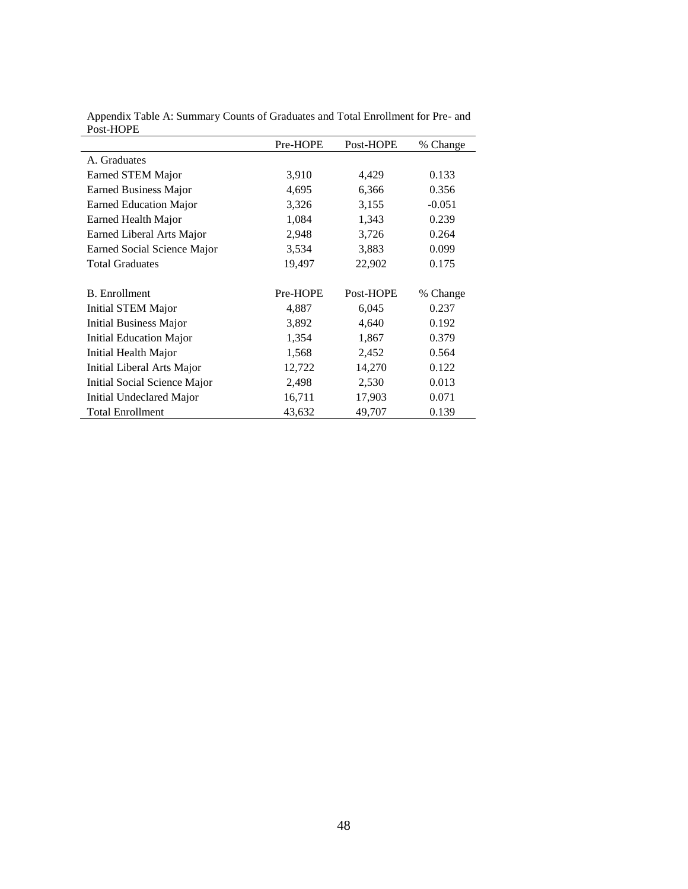|                                | Pre-HOPE | Post-HOPE | % Change |
|--------------------------------|----------|-----------|----------|
| A. Graduates                   |          |           |          |
| <b>Earned STEM Major</b>       | 3,910    | 4,429     | 0.133    |
| Earned Business Major          | 4,695    | 6,366     | 0.356    |
| <b>Earned Education Major</b>  | 3,326    | 3,155     | $-0.051$ |
| <b>Earned Health Major</b>     | 1,084    | 1,343     | 0.239    |
| Earned Liberal Arts Major      | 2,948    | 3,726     | 0.264    |
| Earned Social Science Major    | 3,534    | 3,883     | 0.099    |
| <b>Total Graduates</b>         | 19,497   | 22,902    | 0.175    |
|                                |          |           |          |
| <b>B.</b> Enrollment           | Pre-HOPE | Post-HOPE | % Change |
| Initial STEM Major             | 4,887    | 6,045     | 0.237    |
| <b>Initial Business Major</b>  | 3,892    | 4,640     | 0.192    |
| <b>Initial Education Major</b> | 1,354    | 1,867     | 0.379    |
| Initial Health Major           | 1,568    | 2,452     | 0.564    |
| Initial Liberal Arts Major     | 12,722   | 14,270    | 0.122    |
| Initial Social Science Major   | 2,498    | 2,530     | 0.013    |
| Initial Undeclared Major       | 16,711   | 17,903    | 0.071    |
| <b>Total Enrollment</b>        | 43,632   | 49,707    | 0.139    |

Appendix Table A: Summary Counts of Graduates and Total Enrollment for Pre- and Post-HOPE ÷,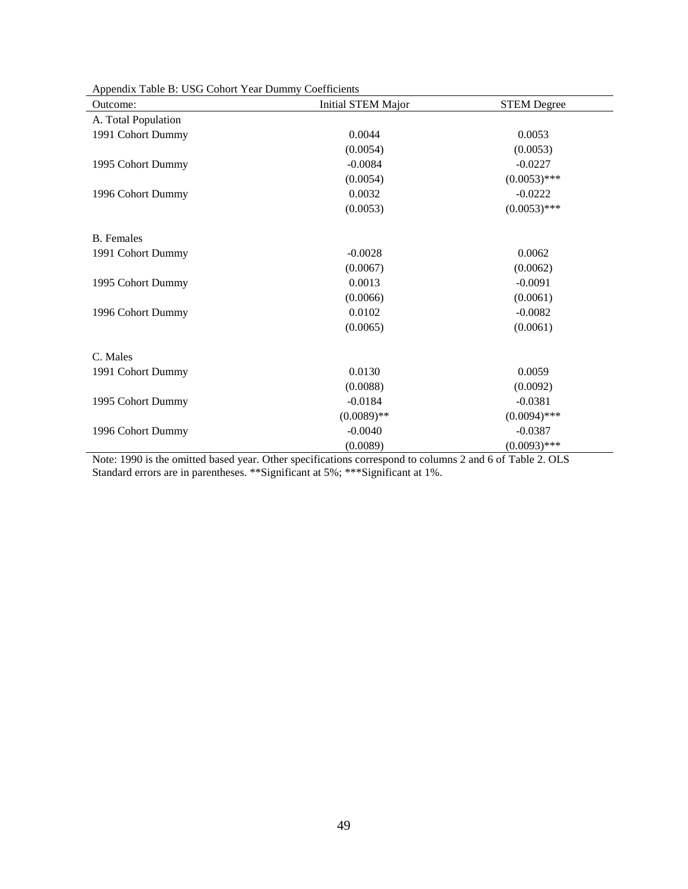| Outcome:            | <b>Initial STEM Major</b> | <b>STEM Degree</b> |
|---------------------|---------------------------|--------------------|
| A. Total Population |                           |                    |
| 1991 Cohort Dummy   | 0.0044                    | 0.0053             |
|                     | (0.0054)                  | (0.0053)           |
| 1995 Cohort Dummy   | $-0.0084$                 | $-0.0227$          |
|                     | (0.0054)                  | $(0.0053)$ ***     |
| 1996 Cohort Dummy   | 0.0032                    | $-0.0222$          |
|                     | (0.0053)                  | $(0.0053)$ ***     |
| <b>B.</b> Females   |                           |                    |
| 1991 Cohort Dummy   | $-0.0028$                 | 0.0062             |
|                     | (0.0067)                  | (0.0062)           |
| 1995 Cohort Dummy   | 0.0013                    | $-0.0091$          |
|                     | (0.0066)                  | (0.0061)           |
| 1996 Cohort Dummy   | 0.0102                    | $-0.0082$          |
|                     | (0.0065)                  | (0.0061)           |
| C. Males            |                           |                    |
| 1991 Cohort Dummy   | 0.0130                    | 0.0059             |
|                     | (0.0088)                  | (0.0092)           |
| 1995 Cohort Dummy   | $-0.0184$                 | $-0.0381$          |
|                     | $(0.0089)$ **             | $(0.0094)$ ***     |
| 1996 Cohort Dummy   | $-0.0040$                 | $-0.0387$          |
|                     | (0.0089)                  | $(0.0093)$ ***     |

Appendix Table B: USG Cohort Year Dummy Coefficients

Note: 1990 is the omitted based year. Other specifications correspond to columns 2 and 6 of Table 2. OLS Standard errors are in parentheses. \*\*Significant at 5%; \*\*\*Significant at 1%.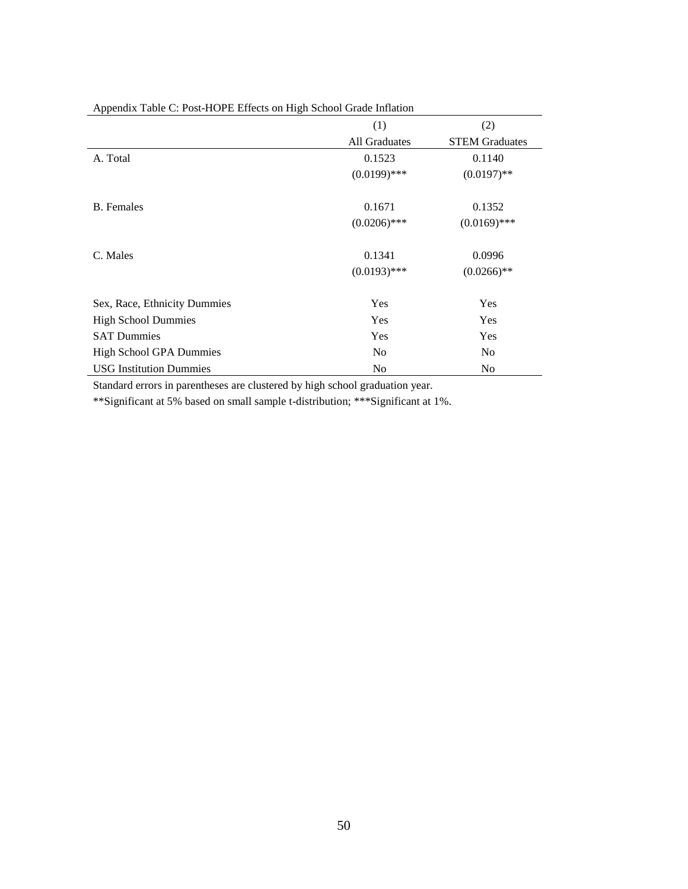|                                | (1)            | (2)                   |
|--------------------------------|----------------|-----------------------|
|                                | All Graduates  | <b>STEM Graduates</b> |
| A. Total                       | 0.1523         | 0.1140                |
|                                | $(0.0199)$ *** | $(0.0197)$ **         |
| <b>B.</b> Females              | 0.1671         | 0.1352                |
|                                | $(0.0206)$ *** | $(0.0169)$ ***        |
| C. Males                       | 0.1341         | 0.0996                |
|                                | $(0.0193)$ *** | $(0.0266)$ **         |
| Sex, Race, Ethnicity Dummies   | Yes            | Yes                   |
| <b>High School Dummies</b>     | Yes            | Yes                   |
| <b>SAT Dummies</b>             | Yes            | Yes                   |
| <b>High School GPA Dummies</b> | N <sub>0</sub> | N <sub>0</sub>        |
| <b>USG</b> Institution Dummies | N <sub>0</sub> | No                    |

Appendix Table C: Post-HOPE Effects on High School Grade Inflation

Standard errors in parentheses are clustered by high school graduation year.

\*\*Significant at 5% based on small sample t-distribution; \*\*\*Significant at 1%.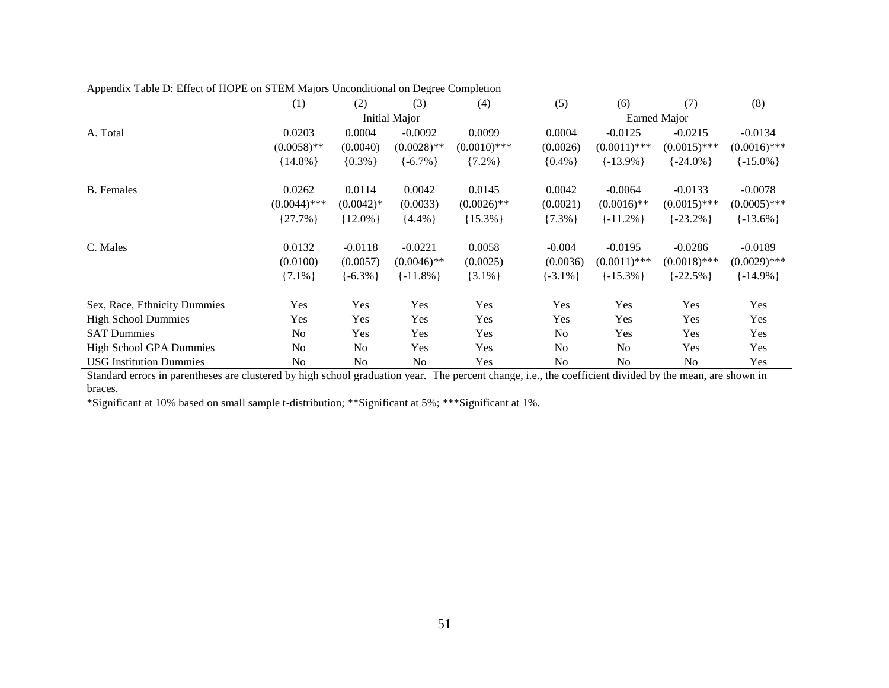|                                | (1)            | (2)            | (3)                  | (4)            | (5)           | (6)            | (7)            | (8)            |
|--------------------------------|----------------|----------------|----------------------|----------------|---------------|----------------|----------------|----------------|
|                                |                |                | <b>Initial Major</b> |                |               |                | Earned Major   |                |
| A. Total                       | 0.0203         | 0.0004         | $-0.0092$            | 0.0099         | 0.0004        | $-0.0125$      | $-0.0215$      | $-0.0134$      |
|                                | $(0.0058)$ **  | (0.0040)       | $(0.0028)$ **        | $(0.0010)$ *** | (0.0026)      | $(0.0011)$ *** | $(0.0015)$ *** | $(0.0016)$ *** |
|                                | ${14.8\%}$     | ${0.3\%}$      | $\{-6.7\% \}$        | ${7.2\%}$      | ${0.4\%}$     | $\{-13.9\% \}$ | $\{-24.0\% \}$ | $\{-15.0\% \}$ |
| <b>B.</b> Females              | 0.0262         | 0.0114         | 0.0042               | 0.0145         | 0.0042        | $-0.0064$      | $-0.0133$      | $-0.0078$      |
|                                | $(0.0044)$ *** | $(0.0042)$ *   | (0.0033)             | $(0.0026)$ **  | (0.0021)      | $(0.0016)$ **  | $(0.0015)$ *** | $(0.0005)$ *** |
|                                | ${27.7\%}$     | ${12.0\%}$     | ${4.4\%}$            | ${15.3\%}$     | ${7.3\%}$     | $\{-11.2\% \}$ | $\{-23.2\% \}$ | $\{-13.6\% \}$ |
| C. Males                       | 0.0132         | $-0.0118$      | $-0.0221$            | 0.0058         | $-0.004$      | $-0.0195$      | $-0.0286$      | $-0.0189$      |
|                                | (0.0100)       | (0.0057)       | $(0.0046)$ **        | (0.0025)       | (0.0036)      | $(0.0011)$ *** | $(0.0018)$ *** | $(0.0029)$ *** |
|                                | $\{7.1\% \}$   | $\{-6.3\% \}$  | $\{-11.8\% \}$       | $\{3.1\% \}$   | $\{-3.1\% \}$ | $\{-15.3\% \}$ | $\{-22.5\% \}$ | $\{-14.9\% \}$ |
| Sex, Race, Ethnicity Dummies   | Yes            | Yes            | Yes                  | Yes            | Yes           | Yes            | Yes            | Yes            |
| <b>High School Dummies</b>     | Yes            | Yes            | Yes                  | Yes            | Yes           | Yes            | Yes            | Yes            |
| <b>SAT Dummies</b>             | N <sub>o</sub> | Yes            | Yes                  | Yes            | No            | Yes            | Yes            | Yes            |
| <b>High School GPA Dummies</b> | N <sub>0</sub> | N <sub>o</sub> | Yes                  | Yes            | No            | No.            | Yes            | Yes            |
| <b>USG</b> Institution Dummies | No             | N <sub>o</sub> | No                   | Yes            | No            | No             | No             | Yes            |

Appendix Table D: Effect of HOPE on STEM Majors Unconditional on Degree Completion

Standard errors in parentheses are clustered by high school graduation year. The percent change, i.e., the coefficient divided by the mean, are shown in braces.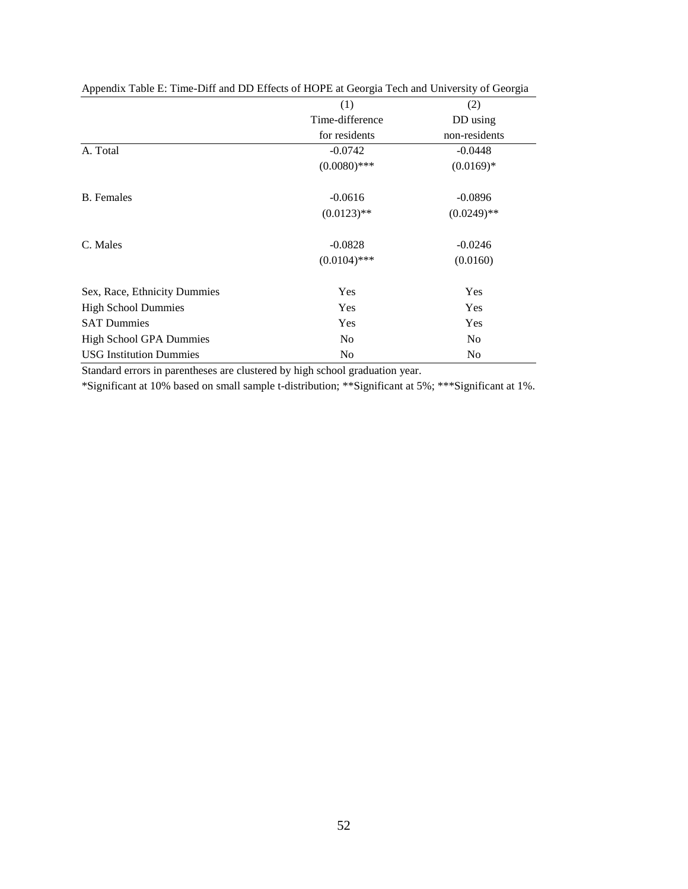| $\mathbf{r}$ appearant two results in the set of the set of $\mathbf{r}$ and $\mathbf{r}$ and $\mathbf{r}$ and $\mathbf{r}$ are $\mathbf{r}$ and $\mathbf{r}$ and $\mathbf{r}$ are $\mathbf{r}$ and $\mathbf{r}$ are $\mathbf{r}$ and $\mathbf{r}$ and $\mathbf{r}$ are $\mathbf{r}$ |                 |                |
|--------------------------------------------------------------------------------------------------------------------------------------------------------------------------------------------------------------------------------------------------------------------------------------|-----------------|----------------|
|                                                                                                                                                                                                                                                                                      | (1)             | (2)            |
|                                                                                                                                                                                                                                                                                      | Time-difference | DD using       |
|                                                                                                                                                                                                                                                                                      | for residents   | non-residents  |
| A. Total                                                                                                                                                                                                                                                                             | $-0.0742$       | $-0.0448$      |
|                                                                                                                                                                                                                                                                                      | $(0.0080)$ ***  | $(0.0169)*$    |
| <b>B.</b> Females                                                                                                                                                                                                                                                                    | $-0.0616$       | $-0.0896$      |
|                                                                                                                                                                                                                                                                                      | $(0.0123)$ **   | $(0.0249)$ **  |
| C. Males                                                                                                                                                                                                                                                                             | $-0.0828$       | $-0.0246$      |
|                                                                                                                                                                                                                                                                                      | $(0.0104)$ ***  | (0.0160)       |
| Sex, Race, Ethnicity Dummies                                                                                                                                                                                                                                                         | Yes             | Yes            |
| <b>High School Dummies</b>                                                                                                                                                                                                                                                           | Yes             | Yes            |
| <b>SAT Dummies</b>                                                                                                                                                                                                                                                                   | Yes             | Yes            |
| <b>High School GPA Dummies</b>                                                                                                                                                                                                                                                       | N <sub>0</sub>  | N <sub>0</sub> |
| <b>USG</b> Institution Dummies                                                                                                                                                                                                                                                       | N <sub>0</sub>  | N <sub>0</sub> |

Appendix Table E: Time-Diff and DD Effects of HOPE at Georgia Tech and University of Georgia

Standard errors in parentheses are clustered by high school graduation year.